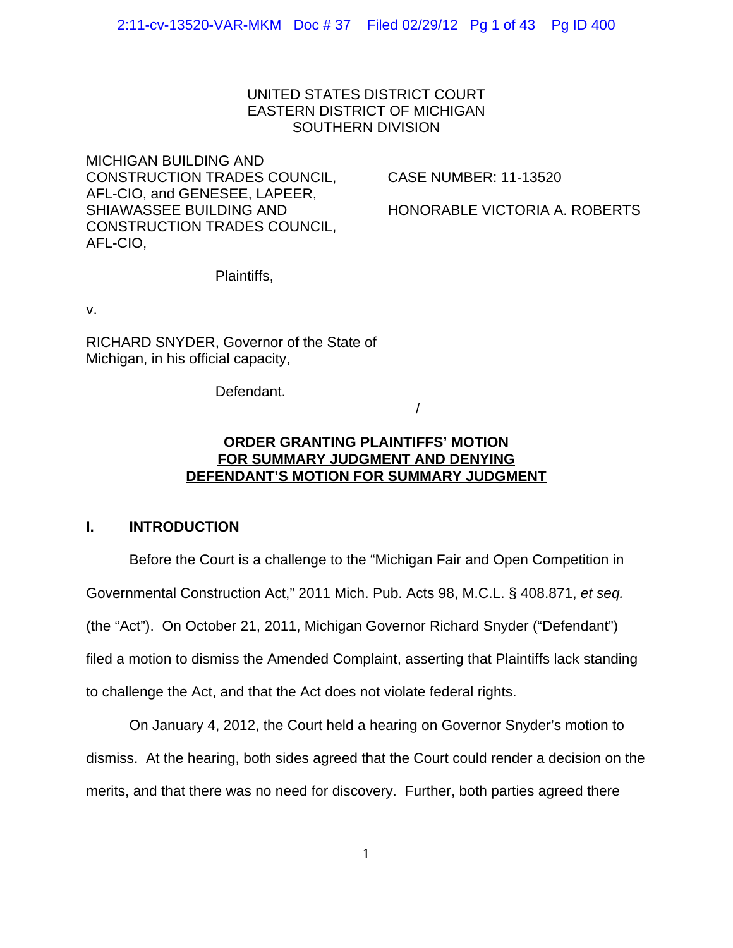## UNITED STATES DISTRICT COURT EASTERN DISTRICT OF MICHIGAN SOUTHERN DIVISION

MICHIGAN BUILDING AND CONSTRUCTION TRADES COUNCIL, CASE NUMBER: 11-13520 AFL-CIO, and GENESEE, LAPEER, SHIAWASSEE BUILDING AND HONORABLE VICTORIA A. ROBERTS CONSTRUCTION TRADES COUNCIL, AFL-CIO,

Plaintiffs,

v.

RICHARD SNYDER, Governor of the State of Michigan, in his official capacity,

Defendant. <u>/</u>

# **ORDER GRANTING PLAINTIFFS' MOTION FOR SUMMARY JUDGMENT AND DENYING DEFENDANT'S MOTION FOR SUMMARY JUDGMENT**

# **I. INTRODUCTION**

Before the Court is a challenge to the "Michigan Fair and Open Competition in Governmental Construction Act," 2011 Mich. Pub. Acts 98, M.C.L. § 408.871, *et seq.* (the "Act"). On October 21, 2011, Michigan Governor Richard Snyder ("Defendant") filed a motion to dismiss the Amended Complaint, asserting that Plaintiffs lack standing to challenge the Act, and that the Act does not violate federal rights.

On January 4, 2012, the Court held a hearing on Governor Snyder's motion to dismiss. At the hearing, both sides agreed that the Court could render a decision on the merits, and that there was no need for discovery. Further, both parties agreed there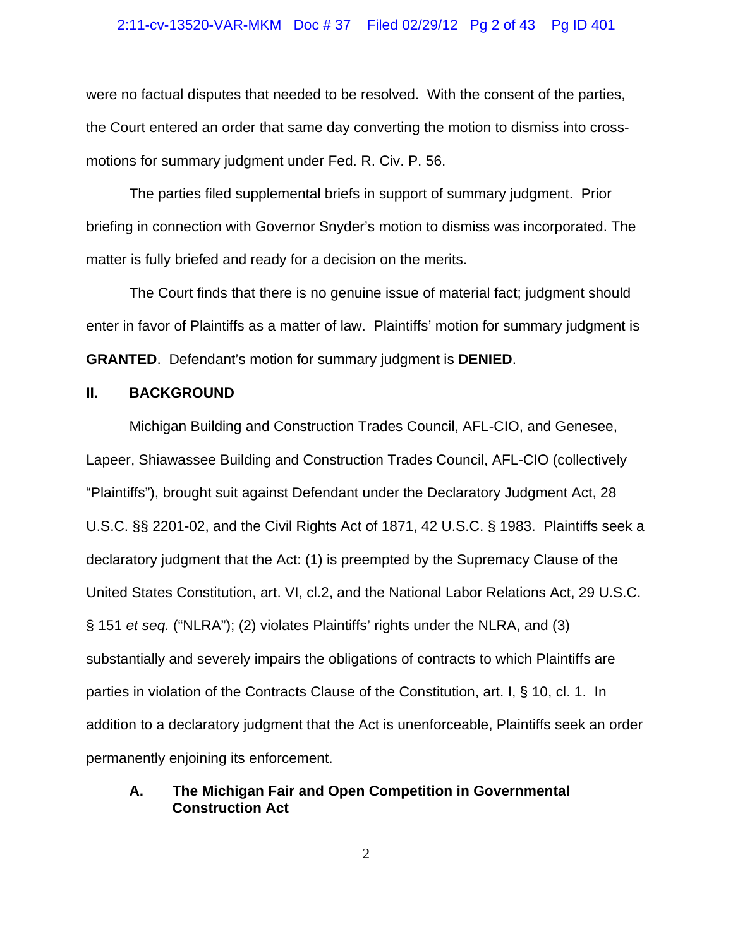### 2:11-cv-13520-VAR-MKM Doc # 37 Filed 02/29/12 Pg 2 of 43 Pg ID 401

were no factual disputes that needed to be resolved. With the consent of the parties, the Court entered an order that same day converting the motion to dismiss into crossmotions for summary judgment under Fed. R. Civ. P. 56.

The parties filed supplemental briefs in support of summary judgment. Prior briefing in connection with Governor Snyder's motion to dismiss was incorporated. The matter is fully briefed and ready for a decision on the merits.

The Court finds that there is no genuine issue of material fact; judgment should enter in favor of Plaintiffs as a matter of law. Plaintiffs' motion for summary judgment is **GRANTED**. Defendant's motion for summary judgment is **DENIED**.

### **II. BACKGROUND**

Michigan Building and Construction Trades Council, AFL-CIO, and Genesee, Lapeer, Shiawassee Building and Construction Trades Council, AFL-CIO (collectively "Plaintiffs"), brought suit against Defendant under the Declaratory Judgment Act, 28 U.S.C. §§ 2201-02, and the Civil Rights Act of 1871, 42 U.S.C. § 1983. Plaintiffs seek a declaratory judgment that the Act: (1) is preempted by the Supremacy Clause of the United States Constitution, art. VI, cl.2, and the National Labor Relations Act, 29 U.S.C. § 151 *et seq.* ("NLRA"); (2) violates Plaintiffs' rights under the NLRA, and (3) substantially and severely impairs the obligations of contracts to which Plaintiffs are parties in violation of the Contracts Clause of the Constitution, art. I, § 10, cl. 1. In addition to a declaratory judgment that the Act is unenforceable, Plaintiffs seek an order permanently enjoining its enforcement.

# **A. The Michigan Fair and Open Competition in Governmental Construction Act**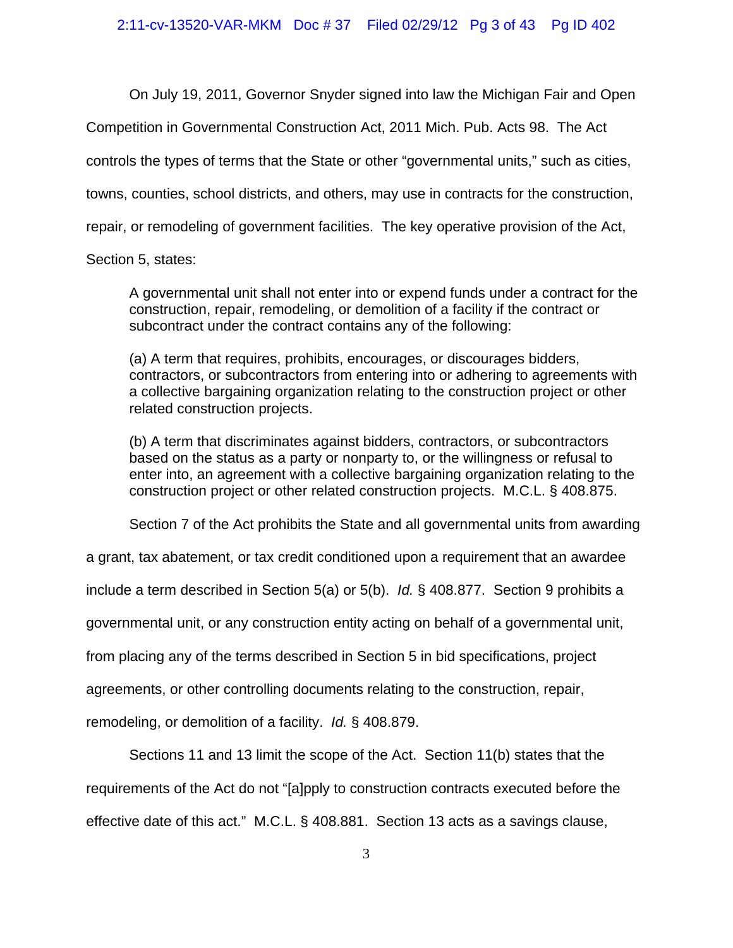On July 19, 2011, Governor Snyder signed into law the Michigan Fair and Open

Competition in Governmental Construction Act, 2011 Mich. Pub. Acts 98. The Act

controls the types of terms that the State or other "governmental units," such as cities,

towns, counties, school districts, and others, may use in contracts for the construction,

repair, or remodeling of government facilities. The key operative provision of the Act,

Section 5, states:

A governmental unit shall not enter into or expend funds under a contract for the construction, repair, remodeling, or demolition of a facility if the contract or subcontract under the contract contains any of the following:

(a) A term that requires, prohibits, encourages, or discourages bidders, contractors, or subcontractors from entering into or adhering to agreements with a collective bargaining organization relating to the construction project or other related construction projects.

(b) A term that discriminates against bidders, contractors, or subcontractors based on the status as a party or nonparty to, or the willingness or refusal to enter into, an agreement with a collective bargaining organization relating to the construction project or other related construction projects. M.C.L. § 408.875.

Section 7 of the Act prohibits the State and all governmental units from awarding

a grant, tax abatement, or tax credit conditioned upon a requirement that an awardee

include a term described in Section 5(a) or 5(b). *Id.* § 408.877. Section 9 prohibits a

governmental unit, or any construction entity acting on behalf of a governmental unit,

from placing any of the terms described in Section 5 in bid specifications, project

agreements, or other controlling documents relating to the construction, repair,

remodeling, or demolition of a facility. *Id.* § 408.879.

Sections 11 and 13 limit the scope of the Act. Section 11(b) states that the

requirements of the Act do not "[a]pply to construction contracts executed before the effective date of this act." M.C.L. § 408.881. Section 13 acts as a savings clause,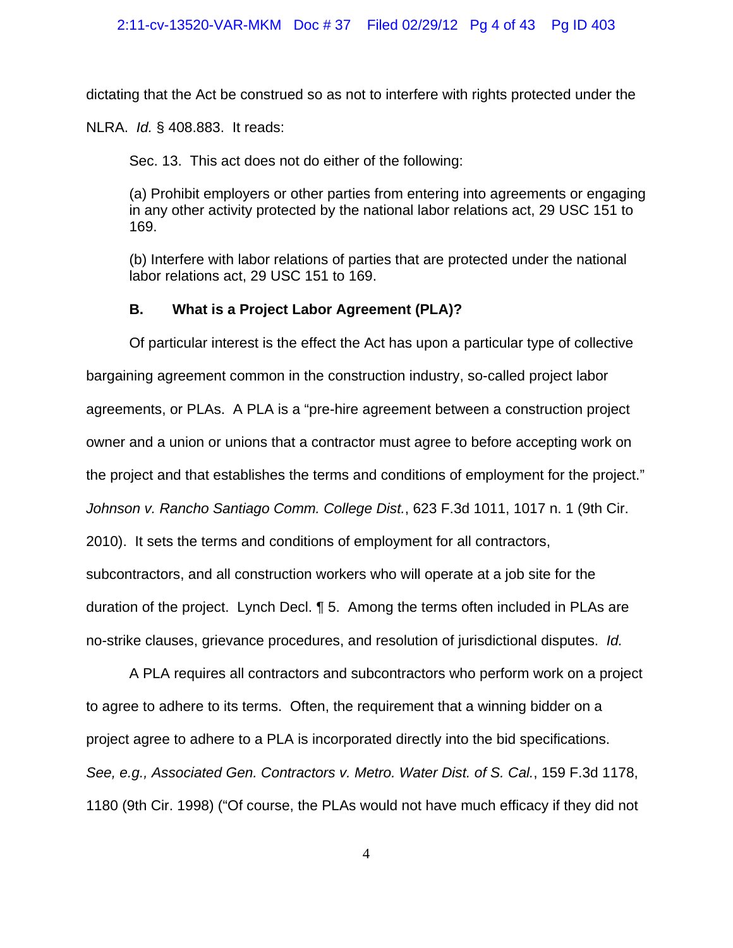dictating that the Act be construed so as not to interfere with rights protected under the

NLRA. *Id.* § 408.883. It reads:

Sec. 13. This act does not do either of the following:

(a) Prohibit employers or other parties from entering into agreements or engaging in any other activity protected by the national labor relations act, 29 USC 151 to 169.

(b) Interfere with labor relations of parties that are protected under the national labor relations act, 29 USC 151 to 169.

# **B. What is a Project Labor Agreement (PLA)?**

Of particular interest is the effect the Act has upon a particular type of collective bargaining agreement common in the construction industry, so-called project labor agreements, or PLAs. A PLA is a "pre-hire agreement between a construction project owner and a union or unions that a contractor must agree to before accepting work on the project and that establishes the terms and conditions of employment for the project." *Johnson v. Rancho Santiago Comm. College Dist.*, 623 F.3d 1011, 1017 n. 1 (9th Cir. 2010). It sets the terms and conditions of employment for all contractors, subcontractors, and all construction workers who will operate at a job site for the duration of the project. Lynch Decl. ¶ 5. Among the terms often included in PLAs are no-strike clauses, grievance procedures, and resolution of jurisdictional disputes. *Id.*

A PLA requires all contractors and subcontractors who perform work on a project to agree to adhere to its terms. Often, the requirement that a winning bidder on a project agree to adhere to a PLA is incorporated directly into the bid specifications. *See, e.g., Associated Gen. Contractors v. Metro. Water Dist. of S. Cal.*, 159 F.3d 1178, 1180 (9th Cir. 1998) ("Of course, the PLAs would not have much efficacy if they did not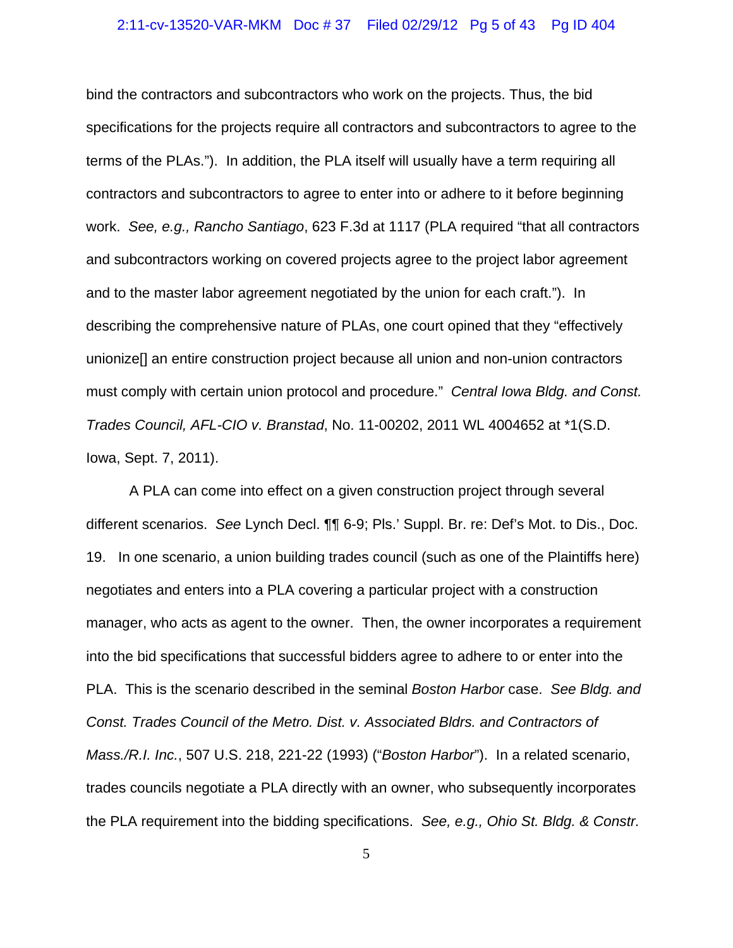### 2:11-cv-13520-VAR-MKM Doc # 37 Filed 02/29/12 Pg 5 of 43 Pg ID 404

bind the contractors and subcontractors who work on the projects. Thus, the bid specifications for the projects require all contractors and subcontractors to agree to the terms of the PLAs."). In addition, the PLA itself will usually have a term requiring all contractors and subcontractors to agree to enter into or adhere to it before beginning work. *See, e.g., Rancho Santiago*, 623 F.3d at 1117 (PLA required "that all contractors and subcontractors working on covered projects agree to the project labor agreement and to the master labor agreement negotiated by the union for each craft."). In describing the comprehensive nature of PLAs, one court opined that they "effectively unionize[] an entire construction project because all union and non-union contractors must comply with certain union protocol and procedure." *Central Iowa Bldg. and Const. Trades Council, AFL-CIO v. Branstad*, No. 11-00202, 2011 WL 4004652 at \*1(S.D. Iowa, Sept. 7, 2011).

A PLA can come into effect on a given construction project through several different scenarios. *See* Lynch Decl. ¶¶ 6-9; Pls.' Suppl. Br. re: Def's Mot. to Dis., Doc. 19. In one scenario, a union building trades council (such as one of the Plaintiffs here) negotiates and enters into a PLA covering a particular project with a construction manager, who acts as agent to the owner. Then, the owner incorporates a requirement into the bid specifications that successful bidders agree to adhere to or enter into the PLA. This is the scenario described in the seminal *Boston Harbor* case. *See Bldg. and Const. Trades Council of the Metro. Dist. v. Associated Bldrs. and Contractors of Mass./R.I. Inc.*, 507 U.S. 218, 221-22 (1993) ("*Boston Harbor*"). In a related scenario, trades councils negotiate a PLA directly with an owner, who subsequently incorporates the PLA requirement into the bidding specifications. *See, e.g., Ohio St. Bldg. & Constr.*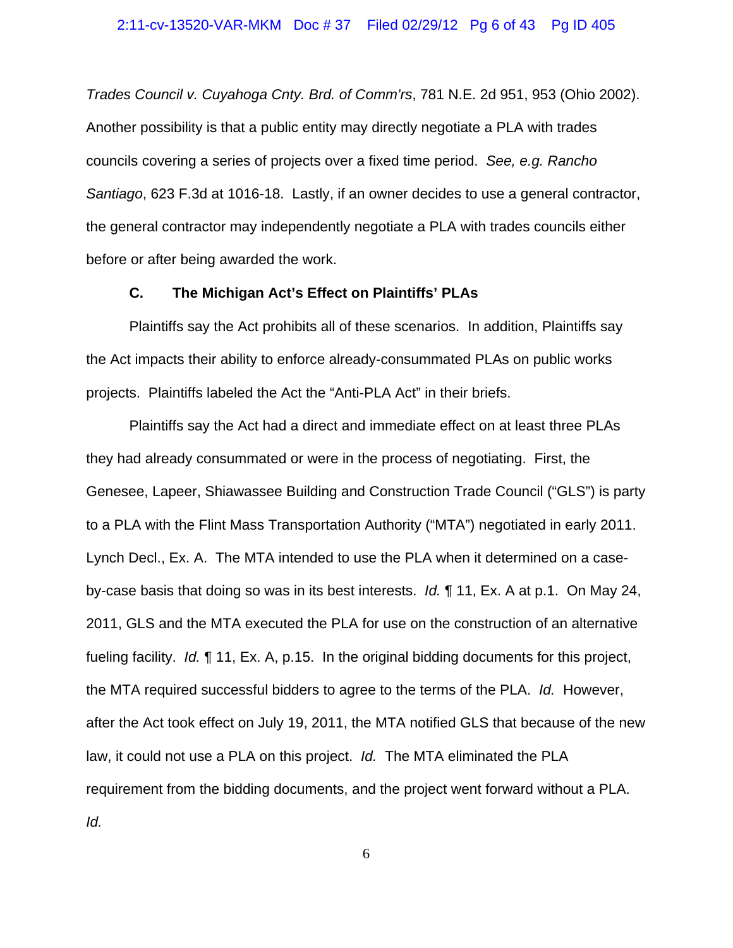*Trades Council v. Cuyahoga Cnty. Brd. of Comm'rs*, 781 N.E. 2d 951, 953 (Ohio 2002). Another possibility is that a public entity may directly negotiate a PLA with trades councils covering a series of projects over a fixed time period. *See, e.g. Rancho Santiago*, 623 F.3d at 1016-18. Lastly, if an owner decides to use a general contractor, the general contractor may independently negotiate a PLA with trades councils either before or after being awarded the work.

### **C. The Michigan Act's Effect on Plaintiffs' PLAs**

Plaintiffs say the Act prohibits all of these scenarios. In addition, Plaintiffs say the Act impacts their ability to enforce already-consummated PLAs on public works projects. Plaintiffs labeled the Act the "Anti-PLA Act" in their briefs.

Plaintiffs say the Act had a direct and immediate effect on at least three PLAs they had already consummated or were in the process of negotiating. First, the Genesee, Lapeer, Shiawassee Building and Construction Trade Council ("GLS") is party to a PLA with the Flint Mass Transportation Authority ("MTA") negotiated in early 2011. Lynch Decl., Ex. A. The MTA intended to use the PLA when it determined on a caseby-case basis that doing so was in its best interests. *Id.* ¶ 11, Ex. A at p.1. On May 24, 2011, GLS and the MTA executed the PLA for use on the construction of an alternative fueling facility. *Id.* ¶ 11, Ex. A, p.15. In the original bidding documents for this project, the MTA required successful bidders to agree to the terms of the PLA. *Id.* However, after the Act took effect on July 19, 2011, the MTA notified GLS that because of the new law, it could not use a PLA on this project. *Id.* The MTA eliminated the PLA requirement from the bidding documents, and the project went forward without a PLA. *Id.*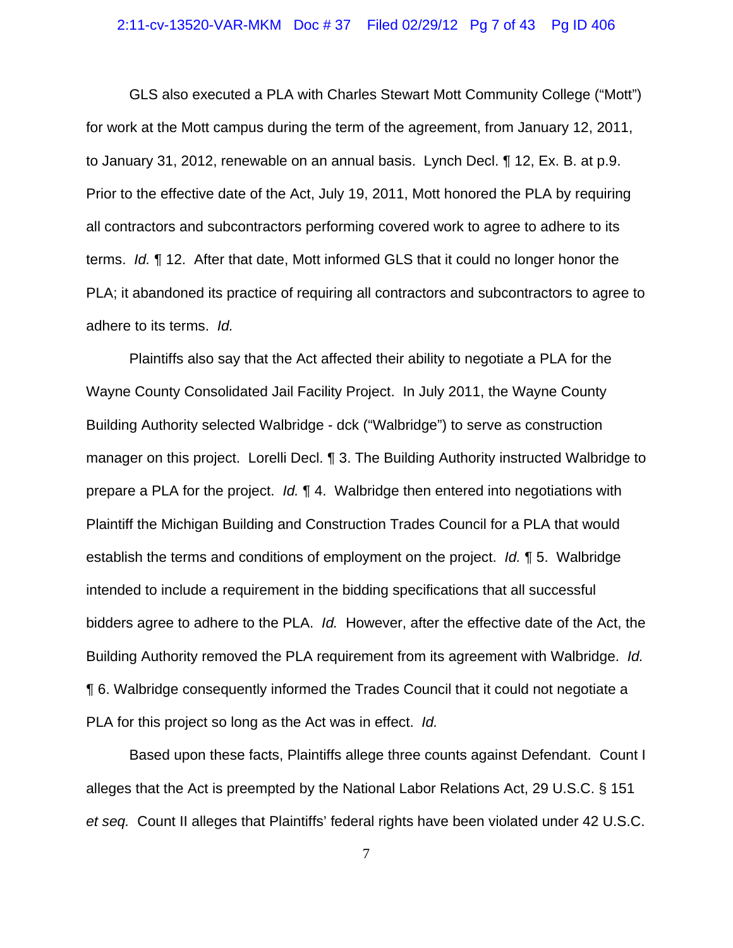### 2:11-cv-13520-VAR-MKM Doc # 37 Filed 02/29/12 Pg 7 of 43 Pg ID 406

GLS also executed a PLA with Charles Stewart Mott Community College ("Mott") for work at the Mott campus during the term of the agreement, from January 12, 2011, to January 31, 2012, renewable on an annual basis. Lynch Decl. ¶ 12, Ex. B. at p.9. Prior to the effective date of the Act, July 19, 2011, Mott honored the PLA by requiring all contractors and subcontractors performing covered work to agree to adhere to its terms. *Id.* ¶ 12. After that date, Mott informed GLS that it could no longer honor the PLA; it abandoned its practice of requiring all contractors and subcontractors to agree to adhere to its terms. *Id.*

Plaintiffs also say that the Act affected their ability to negotiate a PLA for the Wayne County Consolidated Jail Facility Project. In July 2011, the Wayne County Building Authority selected Walbridge - dck ("Walbridge") to serve as construction manager on this project. Lorelli Decl. ¶ 3. The Building Authority instructed Walbridge to prepare a PLA for the project. *Id.* ¶ 4. Walbridge then entered into negotiations with Plaintiff the Michigan Building and Construction Trades Council for a PLA that would establish the terms and conditions of employment on the project. *Id.* ¶ 5. Walbridge intended to include a requirement in the bidding specifications that all successful bidders agree to adhere to the PLA. *Id.* However, after the effective date of the Act, the Building Authority removed the PLA requirement from its agreement with Walbridge. *Id.* ¶ 6. Walbridge consequently informed the Trades Council that it could not negotiate a PLA for this project so long as the Act was in effect. *Id.*

Based upon these facts, Plaintiffs allege three counts against Defendant. Count I alleges that the Act is preempted by the National Labor Relations Act, 29 U.S.C. § 151 *et seq.* Count II alleges that Plaintiffs' federal rights have been violated under 42 U.S.C.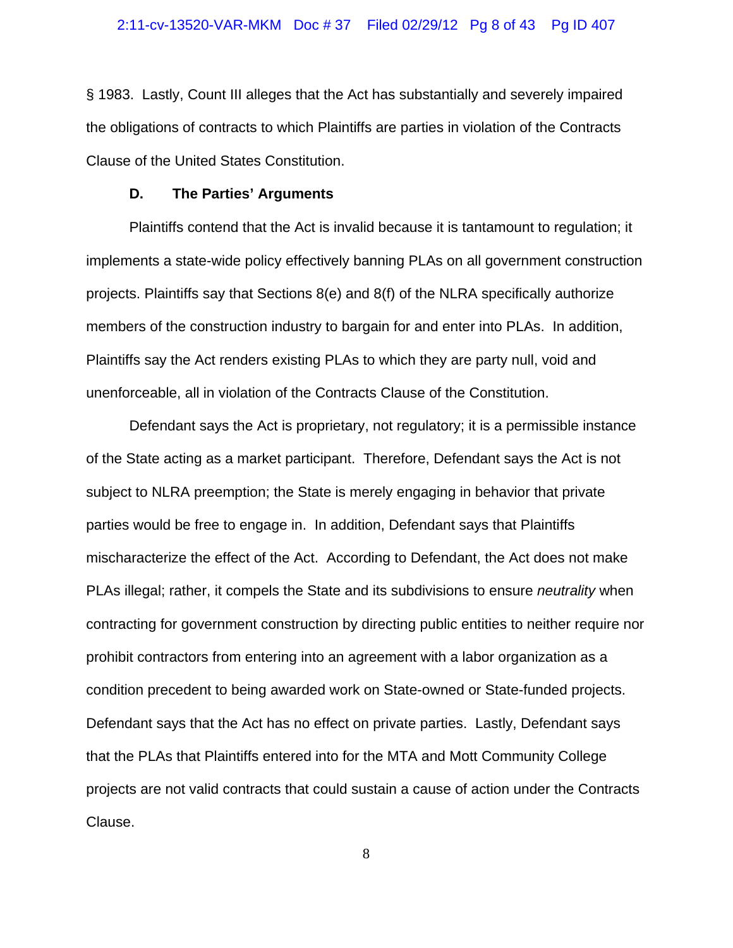§ 1983. Lastly, Count III alleges that the Act has substantially and severely impaired the obligations of contracts to which Plaintiffs are parties in violation of the Contracts Clause of the United States Constitution.

### **D. The Parties' Arguments**

Plaintiffs contend that the Act is invalid because it is tantamount to regulation; it implements a state-wide policy effectively banning PLAs on all government construction projects. Plaintiffs say that Sections 8(e) and 8(f) of the NLRA specifically authorize members of the construction industry to bargain for and enter into PLAs. In addition, Plaintiffs say the Act renders existing PLAs to which they are party null, void and unenforceable, all in violation of the Contracts Clause of the Constitution.

Defendant says the Act is proprietary, not regulatory; it is a permissible instance of the State acting as a market participant. Therefore, Defendant says the Act is not subject to NLRA preemption; the State is merely engaging in behavior that private parties would be free to engage in. In addition, Defendant says that Plaintiffs mischaracterize the effect of the Act. According to Defendant, the Act does not make PLAs illegal; rather, it compels the State and its subdivisions to ensure *neutrality* when contracting for government construction by directing public entities to neither require nor prohibit contractors from entering into an agreement with a labor organization as a condition precedent to being awarded work on State-owned or State-funded projects. Defendant says that the Act has no effect on private parties. Lastly, Defendant says that the PLAs that Plaintiffs entered into for the MTA and Mott Community College projects are not valid contracts that could sustain a cause of action under the Contracts Clause.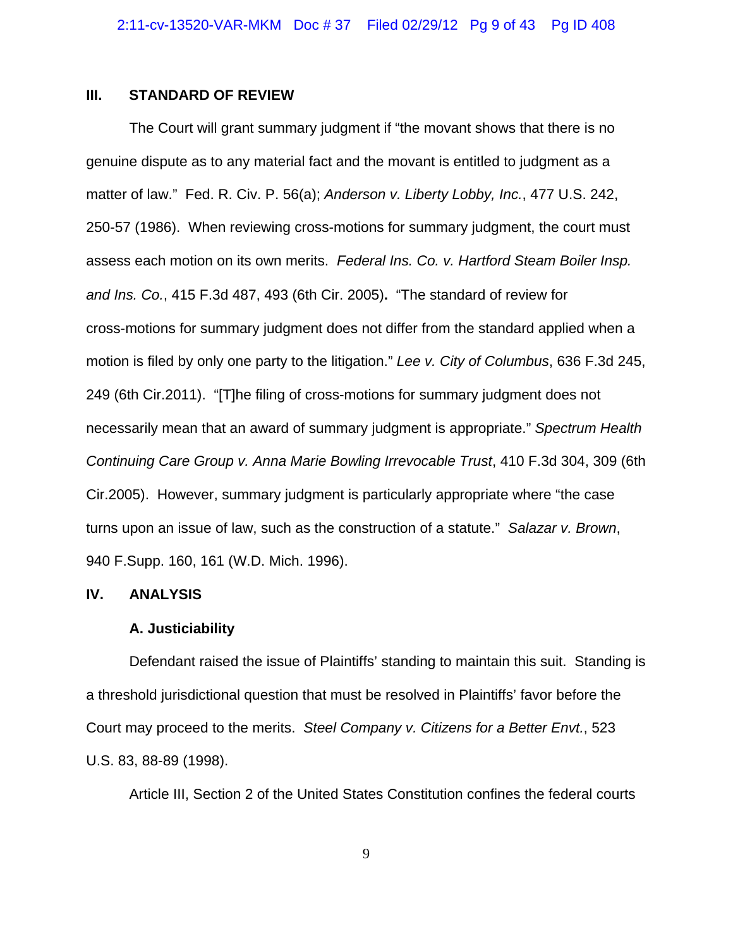### **III. STANDARD OF REVIEW**

The Court will grant summary judgment if "the movant shows that there is no genuine dispute as to any material fact and the movant is entitled to judgment as a matter of law." Fed. R. Civ. P. 56(a); *Anderson v. Liberty Lobby, Inc.*, 477 U.S. 242, 250-57 (1986). When reviewing cross-motions for summary judgment, the court must assess each motion on its own merits.*Federal Ins. Co. v. Hartford Steam Boiler Insp. and Ins. Co.*, 415 F.3d 487, 493 (6th Cir. 2005)**.** "The standard of review for cross-motions for summary judgment does not differ from the standard applied when a motion is filed by only one party to the litigation." *Lee v. City of Columbus*, 636 F.3d 245, 249 (6th Cir.2011)."[T]he filing of cross-motions for summary judgment does not necessarily mean that an award of summary judgment is appropriate." *Spectrum Health Continuing Care Group v. Anna Marie Bowling Irrevocable Trust*, 410 F.3d 304, 309 (6th Cir.2005).However, summary judgment is particularly appropriate where "the case turns upon an issue of law, such as the construction of a statute." *Salazar v. Brown*, 940 F.Supp. 160, 161 (W.D. Mich. 1996).

## **IV. ANALYSIS**

### **A. Justiciability**

Defendant raised the issue of Plaintiffs' standing to maintain this suit. Standing is a threshold jurisdictional question that must be resolved in Plaintiffs' favor before the Court may proceed to the merits. *Steel Company v. Citizens for a Better Envt.*, 523 U.S. 83, 88-89 (1998).

Article III, Section 2 of the United States Constitution confines the federal courts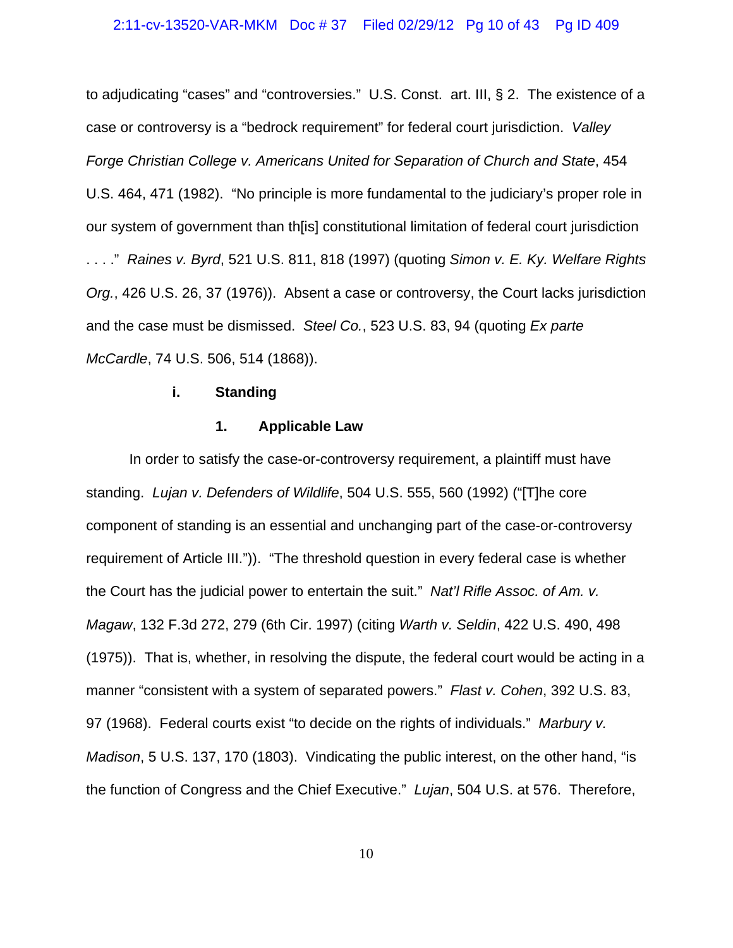### 2:11-cv-13520-VAR-MKM Doc # 37 Filed 02/29/12 Pg 10 of 43 Pg ID 409

to adjudicating "cases" and "controversies." U.S. Const. art. III, § 2. The existence of a case or controversy is a "bedrock requirement" for federal court jurisdiction. *Valley Forge Christian College v. Americans United for Separation of Church and State*, 454 U.S. 464, 471 (1982). "No principle is more fundamental to the judiciary's proper role in our system of government than th[is] constitutional limitation of federal court jurisdiction . . . ." *Raines v. Byrd*, 521 U.S. 811, 818 (1997) (quoting *Simon v. E. Ky. Welfare Rights Org.*, 426 U.S. 26, 37 (1976)). Absent a case or controversy, the Court lacks jurisdiction and the case must be dismissed. *Steel Co.*, 523 U.S. 83, 94 (quoting *Ex parte McCardle*, 74 U.S. 506, 514 (1868)).

#### **i. Standing**

### **1. Applicable Law**

In order to satisfy the case-or-controversy requirement, a plaintiff must have standing. *Lujan v. Defenders of Wildlife*, 504 U.S. 555, 560 (1992) ("[T]he core component of standing is an essential and unchanging part of the case-or-controversy requirement of Article III.")). "The threshold question in every federal case is whether the Court has the judicial power to entertain the suit." *Nat'l Rifle Assoc. of Am. v. Magaw*, 132 F.3d 272, 279 (6th Cir. 1997) (citing *Warth v. Seldin*, 422 U.S. 490, 498 (1975)). That is, whether, in resolving the dispute, the federal court would be acting in a manner "consistent with a system of separated powers." *Flast v. Cohen*, 392 U.S. 83, 97 (1968). Federal courts exist "to decide on the rights of individuals." *Marbury v. Madison*, 5 U.S. 137, 170 (1803). Vindicating the public interest, on the other hand, "is the function of Congress and the Chief Executive." *Lujan*, 504 U.S. at 576. Therefore,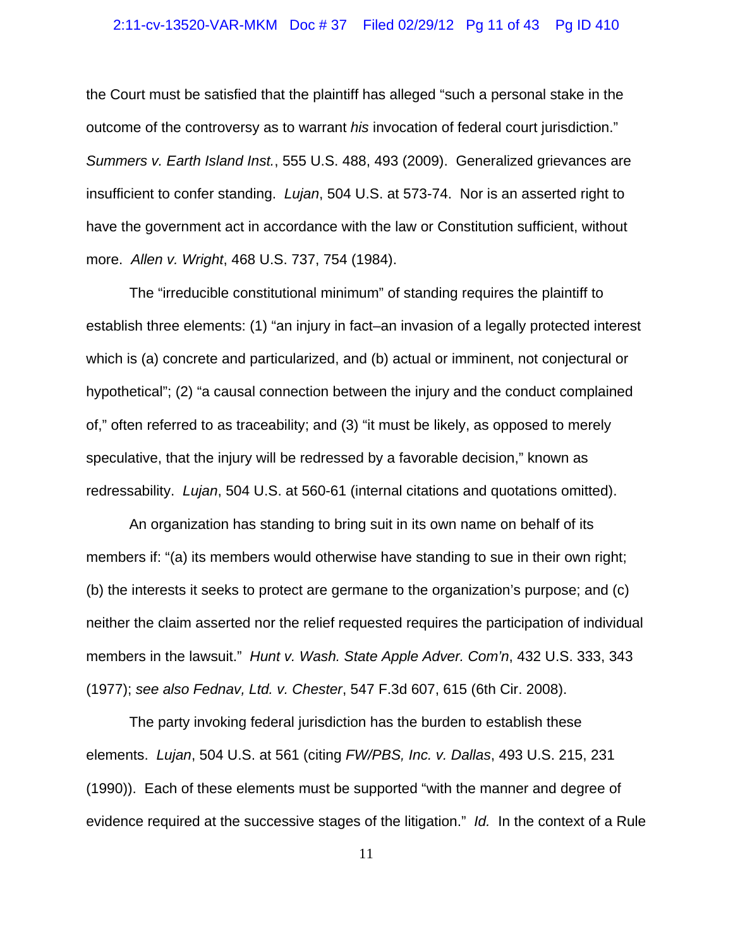### 2:11-cv-13520-VAR-MKM Doc # 37 Filed 02/29/12 Pg 11 of 43 Pg ID 410

the Court must be satisfied that the plaintiff has alleged "such a personal stake in the outcome of the controversy as to warrant *his* invocation of federal court jurisdiction." *Summers v. Earth Island Inst.*, 555 U.S. 488, 493 (2009). Generalized grievances are insufficient to confer standing. *Lujan*, 504 U.S. at 573-74. Nor is an asserted right to have the government act in accordance with the law or Constitution sufficient, without more. *Allen v. Wright*, 468 U.S. 737, 754 (1984).

The "irreducible constitutional minimum" of standing requires the plaintiff to establish three elements: (1) "an injury in fact–an invasion of a legally protected interest which is (a) concrete and particularized, and (b) actual or imminent, not conjectural or hypothetical"; (2) "a causal connection between the injury and the conduct complained of," often referred to as traceability; and (3) "it must be likely, as opposed to merely speculative, that the injury will be redressed by a favorable decision," known as redressability. *Lujan*, 504 U.S. at 560-61 (internal citations and quotations omitted).

An organization has standing to bring suit in its own name on behalf of its members if: "(a) its members would otherwise have standing to sue in their own right; (b) the interests it seeks to protect are germane to the organization's purpose; and (c) neither the claim asserted nor the relief requested requires the participation of individual members in the lawsuit." *Hunt v. Wash. State Apple Adver. Com'n*, 432 U.S. 333, 343 (1977); *see also Fednav, Ltd. v. Chester*, 547 F.3d 607, 615 (6th Cir. 2008).

The party invoking federal jurisdiction has the burden to establish these elements. *Lujan*, 504 U.S. at 561 (citing *FW/PBS, Inc. v. Dallas*, 493 U.S. 215, 231 (1990)). Each of these elements must be supported "with the manner and degree of evidence required at the successive stages of the litigation." *Id.* In the context of a Rule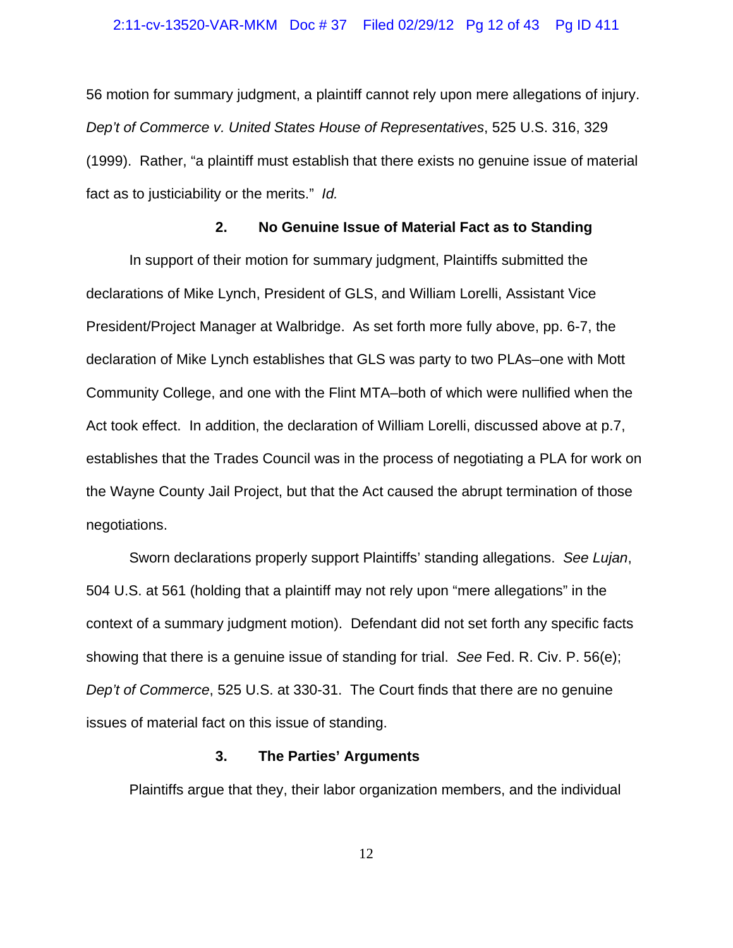### 2:11-cv-13520-VAR-MKM Doc # 37 Filed 02/29/12 Pg 12 of 43 Pg ID 411

56 motion for summary judgment, a plaintiff cannot rely upon mere allegations of injury. *Dep't of Commerce v. United States House of Representatives*, 525 U.S. 316, 329 (1999). Rather, "a plaintiff must establish that there exists no genuine issue of material fact as to justiciability or the merits." *Id.*

### **2. No Genuine Issue of Material Fact as to Standing**

In support of their motion for summary judgment, Plaintiffs submitted the declarations of Mike Lynch, President of GLS, and William Lorelli, Assistant Vice President/Project Manager at Walbridge. As set forth more fully above, pp. 6-7, the declaration of Mike Lynch establishes that GLS was party to two PLAs–one with Mott Community College, and one with the Flint MTA–both of which were nullified when the Act took effect. In addition, the declaration of William Lorelli, discussed above at p.7, establishes that the Trades Council was in the process of negotiating a PLA for work on the Wayne County Jail Project, but that the Act caused the abrupt termination of those negotiations.

Sworn declarations properly support Plaintiffs' standing allegations. *See Lujan*, 504 U.S. at 561 (holding that a plaintiff may not rely upon "mere allegations" in the context of a summary judgment motion). Defendant did not set forth any specific facts showing that there is a genuine issue of standing for trial. *See* Fed. R. Civ. P. 56(e); *Dep't of Commerce*, 525 U.S. at 330-31. The Court finds that there are no genuine issues of material fact on this issue of standing.

### **3. The Parties' Arguments**

Plaintiffs argue that they, their labor organization members, and the individual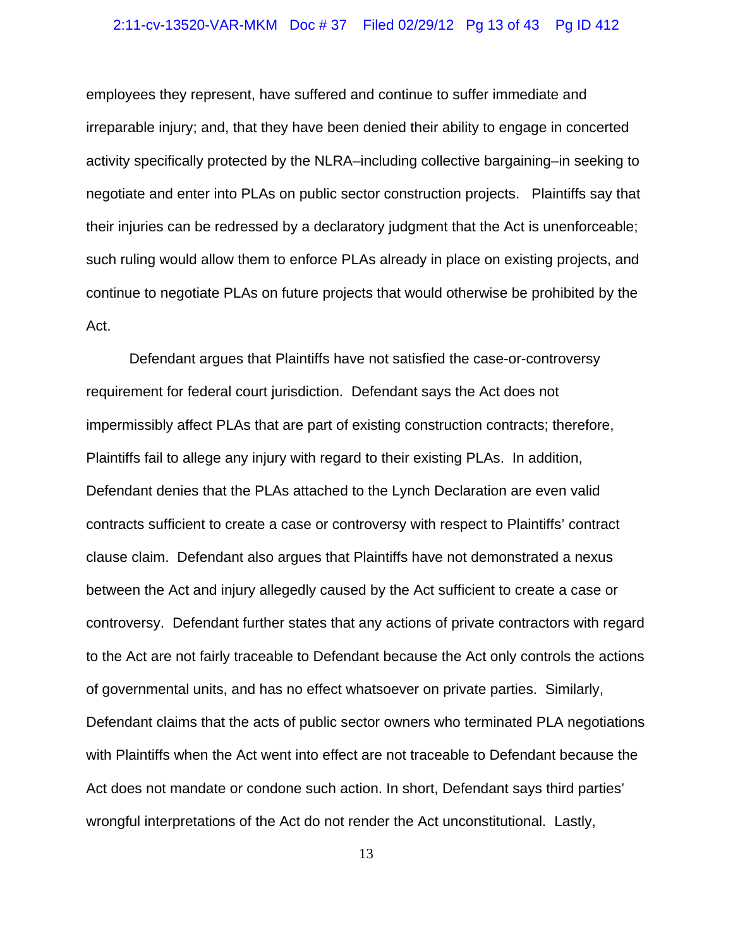### 2:11-cv-13520-VAR-MKM Doc # 37 Filed 02/29/12 Pg 13 of 43 Pg ID 412

employees they represent, have suffered and continue to suffer immediate and irreparable injury; and, that they have been denied their ability to engage in concerted activity specifically protected by the NLRA–including collective bargaining–in seeking to negotiate and enter into PLAs on public sector construction projects. Plaintiffs say that their injuries can be redressed by a declaratory judgment that the Act is unenforceable; such ruling would allow them to enforce PLAs already in place on existing projects, and continue to negotiate PLAs on future projects that would otherwise be prohibited by the Act.

Defendant argues that Plaintiffs have not satisfied the case-or-controversy requirement for federal court jurisdiction. Defendant says the Act does not impermissibly affect PLAs that are part of existing construction contracts; therefore, Plaintiffs fail to allege any injury with regard to their existing PLAs. In addition, Defendant denies that the PLAs attached to the Lynch Declaration are even valid contracts sufficient to create a case or controversy with respect to Plaintiffs' contract clause claim. Defendant also argues that Plaintiffs have not demonstrated a nexus between the Act and injury allegedly caused by the Act sufficient to create a case or controversy. Defendant further states that any actions of private contractors with regard to the Act are not fairly traceable to Defendant because the Act only controls the actions of governmental units, and has no effect whatsoever on private parties. Similarly, Defendant claims that the acts of public sector owners who terminated PLA negotiations with Plaintiffs when the Act went into effect are not traceable to Defendant because the Act does not mandate or condone such action. In short, Defendant says third parties' wrongful interpretations of the Act do not render the Act unconstitutional. Lastly,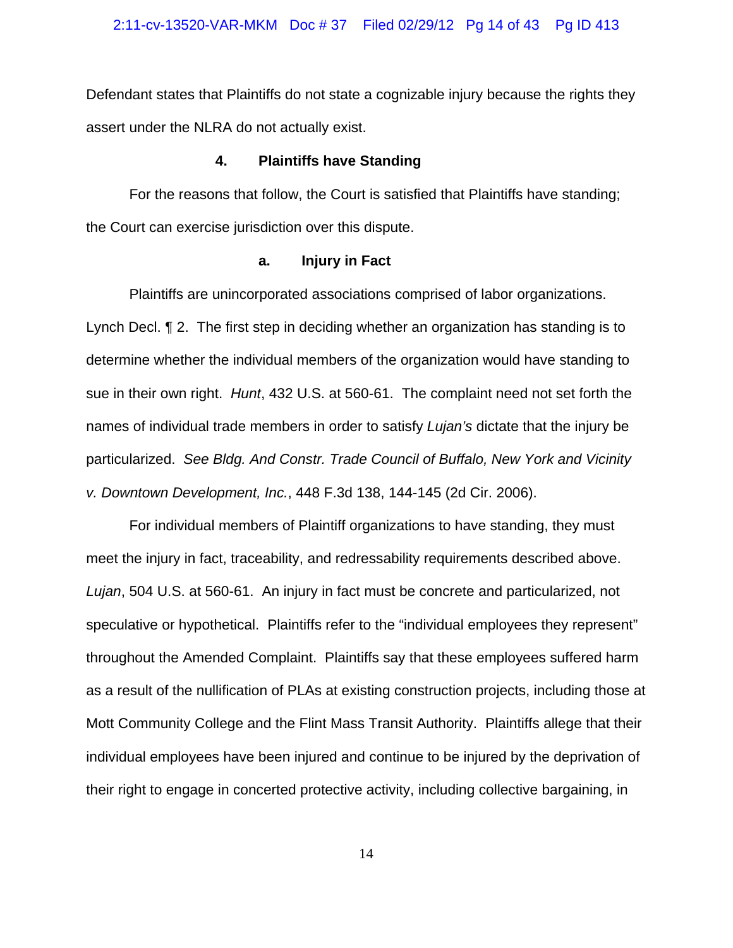Defendant states that Plaintiffs do not state a cognizable injury because the rights they assert under the NLRA do not actually exist.

### **4. Plaintiffs have Standing**

For the reasons that follow, the Court is satisfied that Plaintiffs have standing; the Court can exercise jurisdiction over this dispute.

### **a. Injury in Fact**

Plaintiffs are unincorporated associations comprised of labor organizations.

Lynch Decl. ¶ 2. The first step in deciding whether an organization has standing is to determine whether the individual members of the organization would have standing to sue in their own right. *Hunt*, 432 U.S. at 560-61. The complaint need not set forth the names of individual trade members in order to satisfy *Lujan's* dictate that the injury be particularized. *See Bldg. And Constr. Trade Council of Buffalo, New York and Vicinity v. Downtown Development, Inc.*, 448 F.3d 138, 144-145 (2d Cir. 2006).

For individual members of Plaintiff organizations to have standing, they must meet the injury in fact, traceability, and redressability requirements described above. *Lujan*, 504 U.S. at 560-61. An injury in fact must be concrete and particularized, not speculative or hypothetical. Plaintiffs refer to the "individual employees they represent" throughout the Amended Complaint. Plaintiffs say that these employees suffered harm as a result of the nullification of PLAs at existing construction projects, including those at Mott Community College and the Flint Mass Transit Authority. Plaintiffs allege that their individual employees have been injured and continue to be injured by the deprivation of their right to engage in concerted protective activity, including collective bargaining, in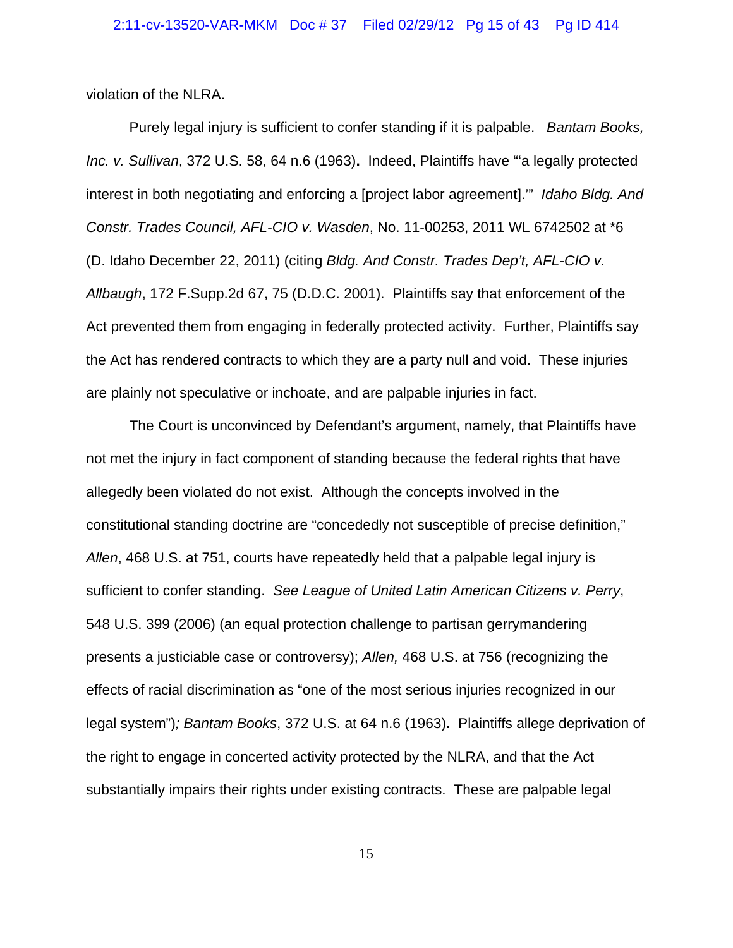violation of the NLRA.

Purely legal injury is sufficient to confer standing if it is palpable. *Bantam Books, Inc. v. Sullivan*, 372 U.S. 58, 64 n.6 (1963)**.** Indeed, Plaintiffs have "'a legally protected interest in both negotiating and enforcing a [project labor agreement].'" *Idaho Bldg. And Constr. Trades Council, AFL-CIO v. Wasden*, No. 11-00253, 2011 WL 6742502 at \*6 (D. Idaho December 22, 2011) (citing *Bldg. And Constr. Trades Dep't, AFL-CIO v. Allbaugh*, 172 F.Supp.2d 67, 75 (D.D.C. 2001). Plaintiffs say that enforcement of the Act prevented them from engaging in federally protected activity. Further, Plaintiffs say the Act has rendered contracts to which they are a party null and void. These injuries are plainly not speculative or inchoate, and are palpable injuries in fact.

The Court is unconvinced by Defendant's argument, namely, that Plaintiffs have not met the injury in fact component of standing because the federal rights that have allegedly been violated do not exist. Although the concepts involved in the constitutional standing doctrine are "concededly not susceptible of precise definition," *Allen*, 468 U.S. at 751, courts have repeatedly held that a palpable legal injury is sufficient to confer standing. *See League of United Latin American Citizens v. Perry*, 548 U.S. 399 (2006) (an equal protection challenge to partisan gerrymandering presents a justiciable case or controversy); *Allen,* 468 U.S. at 756 (recognizing the effects of racial discrimination as "one of the most serious injuries recognized in our legal system")*; Bantam Books*, 372 U.S. at 64 n.6 (1963)**.** Plaintiffs allege deprivation of the right to engage in concerted activity protected by the NLRA, and that the Act substantially impairs their rights under existing contracts. These are palpable legal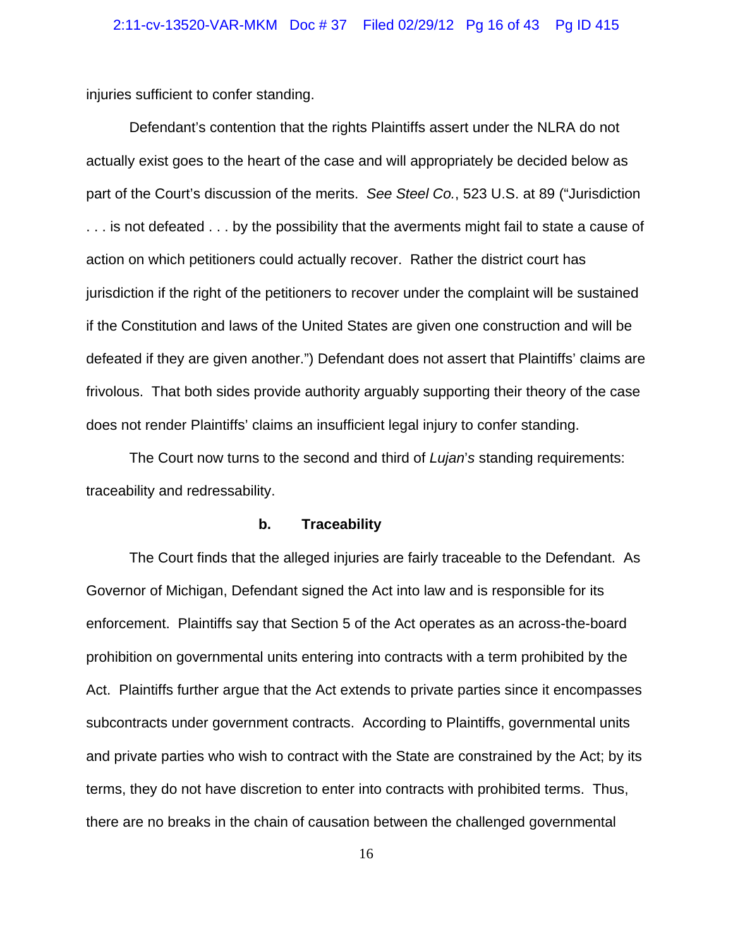injuries sufficient to confer standing.

Defendant's contention that the rights Plaintiffs assert under the NLRA do not actually exist goes to the heart of the case and will appropriately be decided below as part of the Court's discussion of the merits. *See Steel Co.*, 523 U.S. at 89 ("Jurisdiction . . . is not defeated . . . by the possibility that the averments might fail to state a cause of action on which petitioners could actually recover. Rather the district court has jurisdiction if the right of the petitioners to recover under the complaint will be sustained if the Constitution and laws of the United States are given one construction and will be defeated if they are given another.") Defendant does not assert that Plaintiffs' claims are frivolous. That both sides provide authority arguably supporting their theory of the case does not render Plaintiffs' claims an insufficient legal injury to confer standing.

The Court now turns to the second and third of *Lujan*'*s* standing requirements: traceability and redressability.

### **b. Traceability**

The Court finds that the alleged injuries are fairly traceable to the Defendant. As Governor of Michigan, Defendant signed the Act into law and is responsible for its enforcement. Plaintiffs say that Section 5 of the Act operates as an across-the-board prohibition on governmental units entering into contracts with a term prohibited by the Act. Plaintiffs further argue that the Act extends to private parties since it encompasses subcontracts under government contracts. According to Plaintiffs, governmental units and private parties who wish to contract with the State are constrained by the Act; by its terms, they do not have discretion to enter into contracts with prohibited terms. Thus, there are no breaks in the chain of causation between the challenged governmental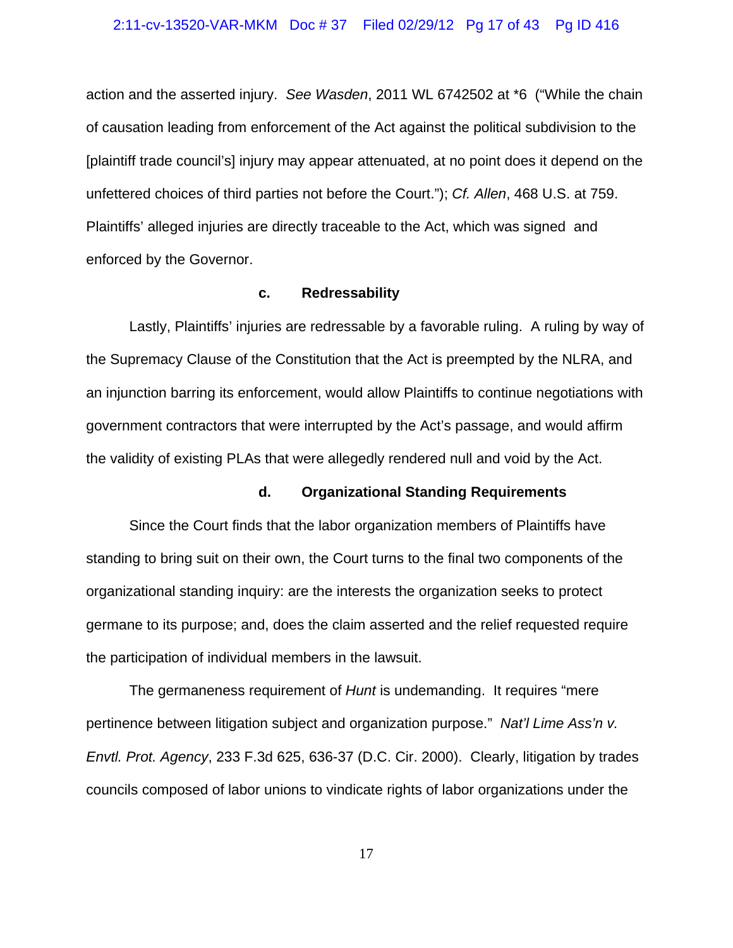### 2:11-cv-13520-VAR-MKM Doc # 37 Filed 02/29/12 Pg 17 of 43 Pg ID 416

action and the asserted injury. *See Wasden*, 2011 WL 6742502 at \*6 ("While the chain of causation leading from enforcement of the Act against the political subdivision to the [plaintiff trade council's] injury may appear attenuated, at no point does it depend on the unfettered choices of third parties not before the Court."); *Cf. Allen*, 468 U.S. at 759. Plaintiffs' alleged injuries are directly traceable to the Act, which was signed and enforced by the Governor.

### **c. Redressability**

Lastly, Plaintiffs' injuries are redressable by a favorable ruling. A ruling by way of the Supremacy Clause of the Constitution that the Act is preempted by the NLRA, and an injunction barring its enforcement, would allow Plaintiffs to continue negotiations with government contractors that were interrupted by the Act's passage, and would affirm the validity of existing PLAs that were allegedly rendered null and void by the Act.

### **d. Organizational Standing Requirements**

Since the Court finds that the labor organization members of Plaintiffs have standing to bring suit on their own, the Court turns to the final two components of the organizational standing inquiry: are the interests the organization seeks to protect germane to its purpose; and, does the claim asserted and the relief requested require the participation of individual members in the lawsuit.

The germaneness requirement of *Hunt* is undemanding. It requires "mere pertinence between litigation subject and organization purpose." *Nat'l Lime Ass'n v. Envtl. Prot. Agency*, 233 F.3d 625, 636-37 (D.C. Cir. 2000). Clearly, litigation by trades councils composed of labor unions to vindicate rights of labor organizations under the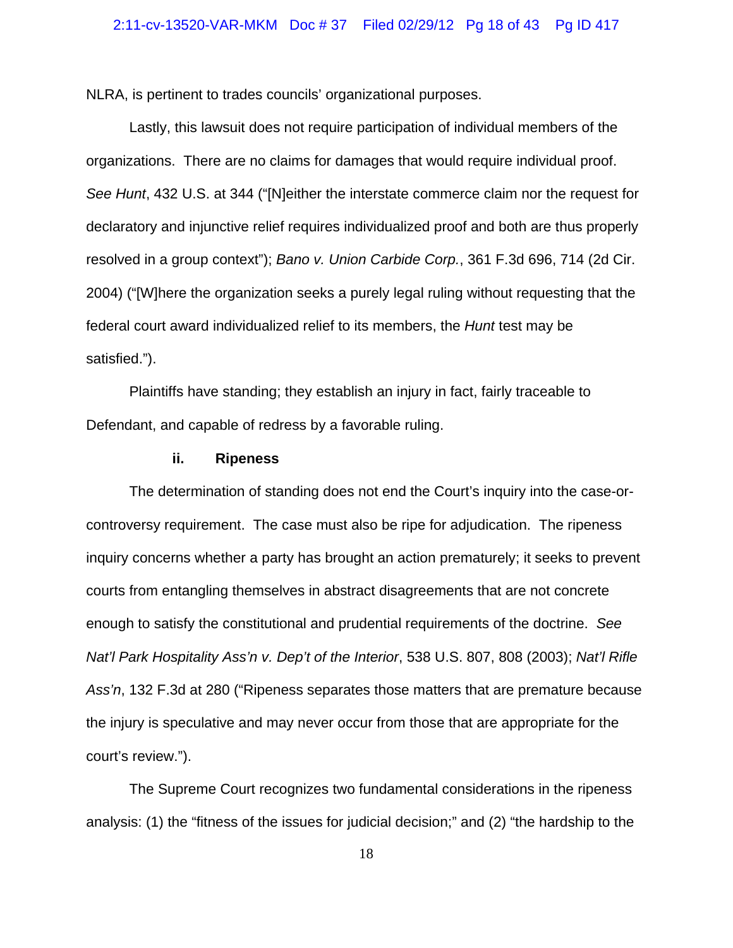NLRA, is pertinent to trades councils' organizational purposes.

Lastly, this lawsuit does not require participation of individual members of the organizations. There are no claims for damages that would require individual proof. *See Hunt*, 432 U.S. at 344 ("[N]either the interstate commerce claim nor the request for declaratory and injunctive relief requires individualized proof and both are thus properly resolved in a group context"); *Bano v. Union Carbide Corp.*, 361 F.3d 696, 714 (2d Cir. 2004) ("[W]here the organization seeks a purely legal ruling without requesting that the federal court award individualized relief to its members, the *Hunt* test may be satisfied.").

Plaintiffs have standing; they establish an injury in fact, fairly traceable to Defendant, and capable of redress by a favorable ruling.

### **ii. Ripeness**

The determination of standing does not end the Court's inquiry into the case-orcontroversy requirement. The case must also be ripe for adjudication. The ripeness inquiry concerns whether a party has brought an action prematurely; it seeks to prevent courts from entangling themselves in abstract disagreements that are not concrete enough to satisfy the constitutional and prudential requirements of the doctrine. *See Nat'l Park Hospitality Ass'n v. Dep't of the Interior*, 538 U.S. 807, 808 (2003); *Nat'l Rifle Ass'n*, 132 F.3d at 280 ("Ripeness separates those matters that are premature because the injury is speculative and may never occur from those that are appropriate for the court's review.").

The Supreme Court recognizes two fundamental considerations in the ripeness analysis: (1) the "fitness of the issues for judicial decision;" and (2) "the hardship to the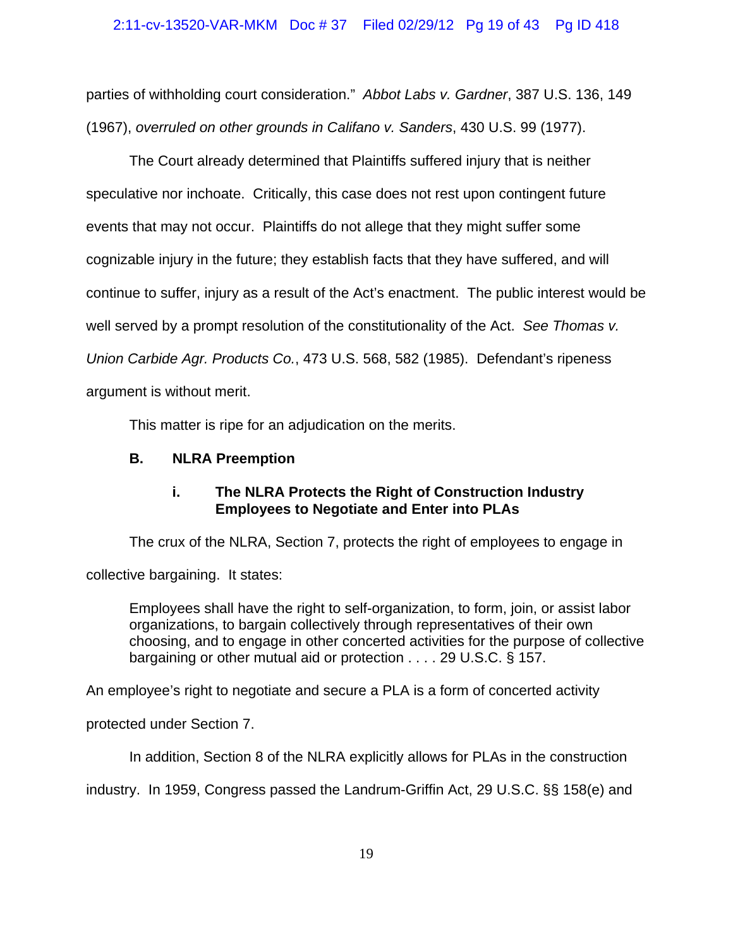parties of withholding court consideration." *Abbot Labs v. Gardner*, 387 U.S. 136, 149 (1967), *overruled on other grounds in Califano v. Sanders*, 430 U.S. 99 (1977).

The Court already determined that Plaintiffs suffered injury that is neither speculative nor inchoate. Critically, this case does not rest upon contingent future events that may not occur. Plaintiffs do not allege that they might suffer some cognizable injury in the future; they establish facts that they have suffered, and will continue to suffer, injury as a result of the Act's enactment. The public interest would be well served by a prompt resolution of the constitutionality of the Act. *See Thomas v. Union Carbide Agr. Products Co.*, 473 U.S. 568, 582 (1985). Defendant's ripeness argument is without merit.

This matter is ripe for an adjudication on the merits.

# **B. NLRA Preemption**

# **i. The NLRA Protects the Right of Construction Industry Employees to Negotiate and Enter into PLAs**

The crux of the NLRA, Section 7, protects the right of employees to engage in collective bargaining. It states:

Employees shall have the right to self-organization, to form, join, or assist labor organizations, to bargain collectively through representatives of their own choosing, and to engage in other concerted activities for the purpose of collective bargaining or other mutual aid or protection . . . . 29 U.S.C. § 157.

An employee's right to negotiate and secure a PLA is a form of concerted activity

protected under Section 7.

In addition, Section 8 of the NLRA explicitly allows for PLAs in the construction

industry. In 1959, Congress passed the Landrum-Griffin Act, 29 U.S.C. §§ 158(e) and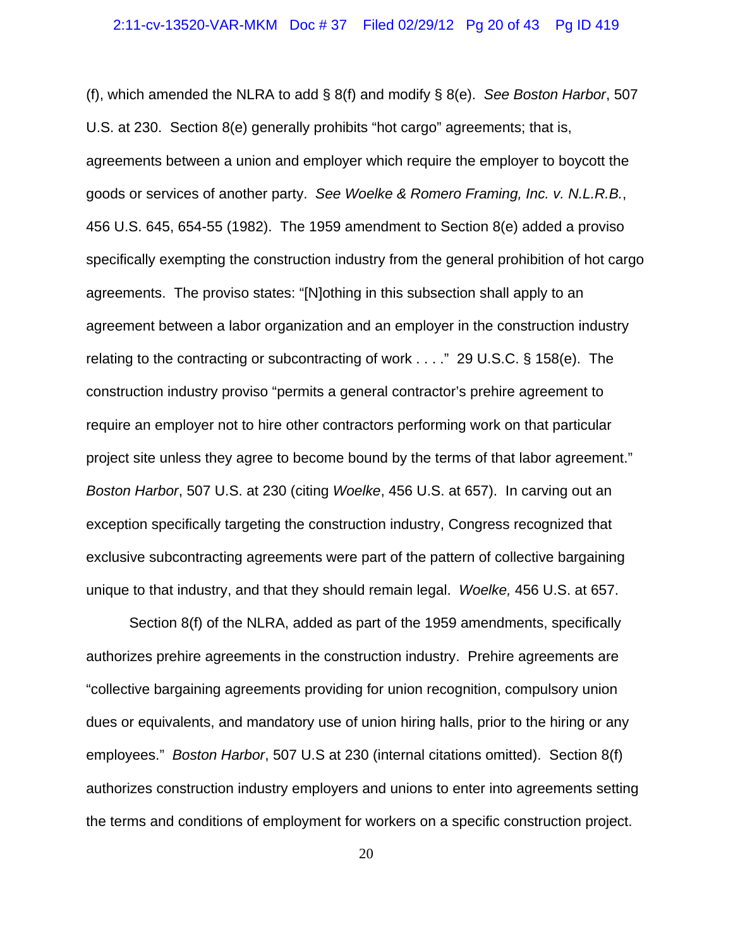(f), which amended the NLRA to add § 8(f) and modify § 8(e). *See Boston Harbor*, 507 U.S. at 230. Section 8(e) generally prohibits "hot cargo" agreements; that is, agreements between a union and employer which require the employer to boycott the goods or services of another party. *See Woelke & Romero Framing, Inc. v. N.L.R.B.*, 456 U.S. 645, 654-55 (1982). The 1959 amendment to Section 8(e) added a proviso specifically exempting the construction industry from the general prohibition of hot cargo agreements. The proviso states: "[N]othing in this subsection shall apply to an agreement between a labor organization and an employer in the construction industry relating to the contracting or subcontracting of work . . . ." 29 U.S.C. § 158(e). The construction industry proviso "permits a general contractor's prehire agreement to require an employer not to hire other contractors performing work on that particular project site unless they agree to become bound by the terms of that labor agreement." *Boston Harbor*, 507 U.S. at 230 (citing *Woelke*, 456 U.S. at 657). In carving out an exception specifically targeting the construction industry, Congress recognized that exclusive subcontracting agreements were part of the pattern of collective bargaining unique to that industry, and that they should remain legal. *Woelke,* 456 U.S. at 657.

Section 8(f) of the NLRA, added as part of the 1959 amendments, specifically authorizes prehire agreements in the construction industry. Prehire agreements are "collective bargaining agreements providing for union recognition, compulsory union dues or equivalents, and mandatory use of union hiring halls, prior to the hiring or any employees." *Boston Harbor*, 507 U.S at 230 (internal citations omitted). Section 8(f) authorizes construction industry employers and unions to enter into agreements setting the terms and conditions of employment for workers on a specific construction project.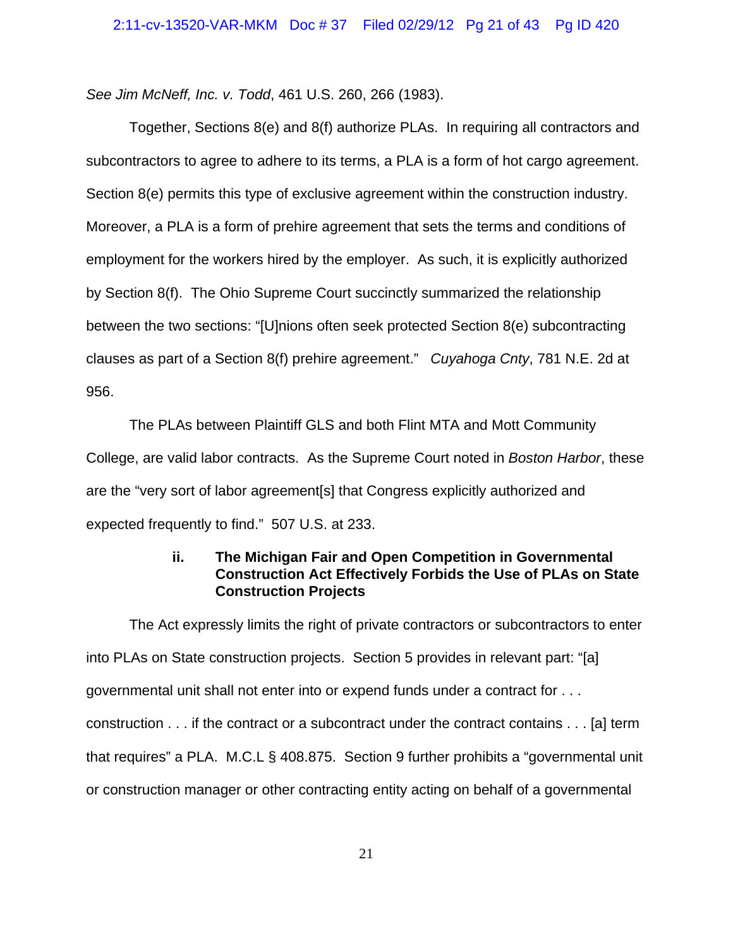*See Jim McNeff, Inc. v. Todd*, 461 U.S. 260, 266 (1983).

Together, Sections 8(e) and 8(f) authorize PLAs. In requiring all contractors and subcontractors to agree to adhere to its terms, a PLA is a form of hot cargo agreement. Section 8(e) permits this type of exclusive agreement within the construction industry. Moreover, a PLA is a form of prehire agreement that sets the terms and conditions of employment for the workers hired by the employer. As such, it is explicitly authorized by Section 8(f). The Ohio Supreme Court succinctly summarized the relationship between the two sections: "[U]nions often seek protected Section 8(e) subcontracting clauses as part of a Section 8(f) prehire agreement." *Cuyahoga Cnty*, 781 N.E. 2d at 956.

The PLAs between Plaintiff GLS and both Flint MTA and Mott Community College, are valid labor contracts. As the Supreme Court noted in *Boston Harbor*, these are the "very sort of labor agreement[s] that Congress explicitly authorized and expected frequently to find." 507 U.S. at 233.

# **ii. The Michigan Fair and Open Competition in Governmental Construction Act Effectively Forbids the Use of PLAs on State Construction Projects**

The Act expressly limits the right of private contractors or subcontractors to enter into PLAs on State construction projects. Section 5 provides in relevant part: "[a] governmental unit shall not enter into or expend funds under a contract for . . . construction . . . if the contract or a subcontract under the contract contains . . . [a] term that requires" a PLA. M.C.L § 408.875. Section 9 further prohibits a "governmental unit or construction manager or other contracting entity acting on behalf of a governmental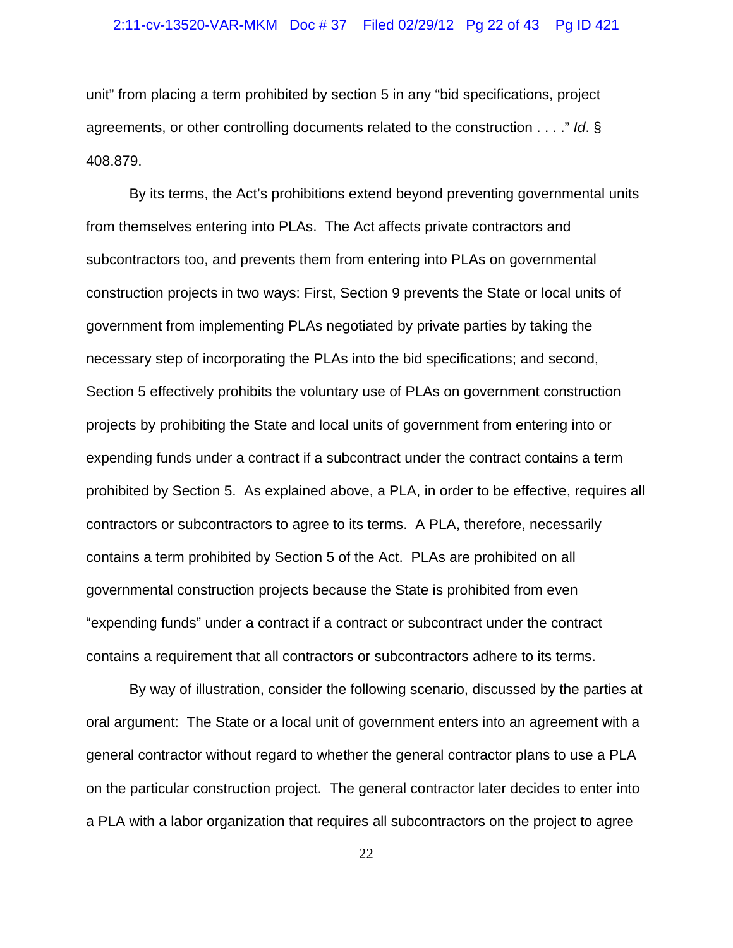## 2:11-cv-13520-VAR-MKM Doc # 37 Filed 02/29/12 Pg 22 of 43 Pg ID 421

unit" from placing a term prohibited by section 5 in any "bid specifications, project agreements, or other controlling documents related to the construction . . . ." *Id*. § 408.879.

By its terms, the Act's prohibitions extend beyond preventing governmental units from themselves entering into PLAs. The Act affects private contractors and subcontractors too, and prevents them from entering into PLAs on governmental construction projects in two ways: First, Section 9 prevents the State or local units of government from implementing PLAs negotiated by private parties by taking the necessary step of incorporating the PLAs into the bid specifications; and second, Section 5 effectively prohibits the voluntary use of PLAs on government construction projects by prohibiting the State and local units of government from entering into or expending funds under a contract if a subcontract under the contract contains a term prohibited by Section 5. As explained above, a PLA, in order to be effective, requires all contractors or subcontractors to agree to its terms. A PLA, therefore, necessarily contains a term prohibited by Section 5 of the Act. PLAs are prohibited on all governmental construction projects because the State is prohibited from even "expending funds" under a contract if a contract or subcontract under the contract contains a requirement that all contractors or subcontractors adhere to its terms.

By way of illustration, consider the following scenario, discussed by the parties at oral argument: The State or a local unit of government enters into an agreement with a general contractor without regard to whether the general contractor plans to use a PLA on the particular construction project. The general contractor later decides to enter into a PLA with a labor organization that requires all subcontractors on the project to agree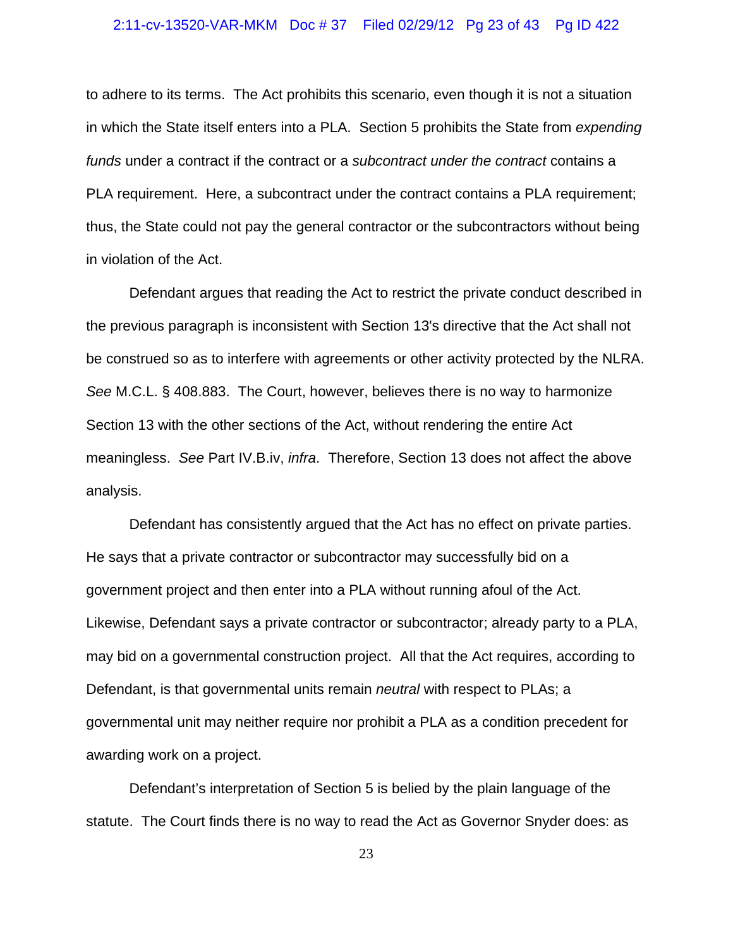### 2:11-cv-13520-VAR-MKM Doc # 37 Filed 02/29/12 Pg 23 of 43 Pg ID 422

to adhere to its terms. The Act prohibits this scenario, even though it is not a situation in which the State itself enters into a PLA. Section 5 prohibits the State from *expending funds* under a contract if the contract or a *subcontract under the contract* contains a PLA requirement. Here, a subcontract under the contract contains a PLA requirement; thus, the State could not pay the general contractor or the subcontractors without being in violation of the Act.

Defendant argues that reading the Act to restrict the private conduct described in the previous paragraph is inconsistent with Section 13's directive that the Act shall not be construed so as to interfere with agreements or other activity protected by the NLRA. *See* M.C.L. § 408.883. The Court, however, believes there is no way to harmonize Section 13 with the other sections of the Act, without rendering the entire Act meaningless. *See* Part IV.B.iv, *infra*. Therefore, Section 13 does not affect the above analysis.

Defendant has consistently argued that the Act has no effect on private parties. He says that a private contractor or subcontractor may successfully bid on a government project and then enter into a PLA without running afoul of the Act. Likewise, Defendant says a private contractor or subcontractor; already party to a PLA, may bid on a governmental construction project. All that the Act requires, according to Defendant, is that governmental units remain *neutral* with respect to PLAs; a governmental unit may neither require nor prohibit a PLA as a condition precedent for awarding work on a project.

Defendant's interpretation of Section 5 is belied by the plain language of the statute. The Court finds there is no way to read the Act as Governor Snyder does: as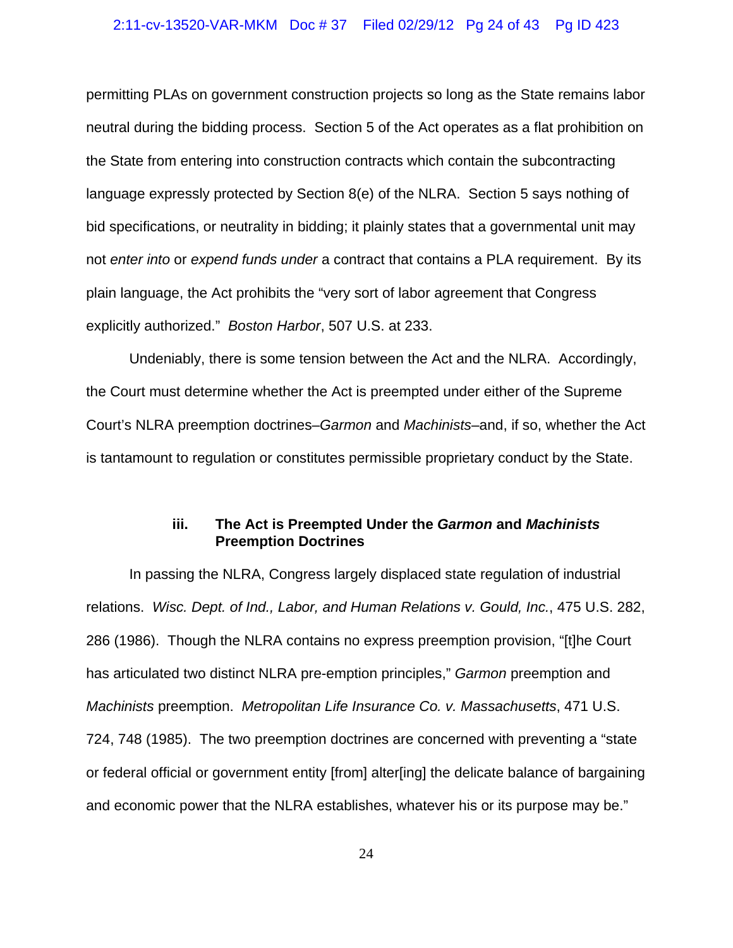### 2:11-cv-13520-VAR-MKM Doc # 37 Filed 02/29/12 Pg 24 of 43 Pg ID 423

permitting PLAs on government construction projects so long as the State remains labor neutral during the bidding process. Section 5 of the Act operates as a flat prohibition on the State from entering into construction contracts which contain the subcontracting language expressly protected by Section 8(e) of the NLRA. Section 5 says nothing of bid specifications, or neutrality in bidding; it plainly states that a governmental unit may not *enter into* or *expend funds under* a contract that contains a PLA requirement. By its plain language, the Act prohibits the "very sort of labor agreement that Congress explicitly authorized." *Boston Harbor*, 507 U.S. at 233.

Undeniably, there is some tension between the Act and the NLRA. Accordingly, the Court must determine whether the Act is preempted under either of the Supreme Court's NLRA preemption doctrines–*Garmon* and *Machinists*–and, if so, whether the Act is tantamount to regulation or constitutes permissible proprietary conduct by the State.

## **iii. The Act is Preempted Under the** *Garmon* **and** *Machinists* **Preemption Doctrines**

In passing the NLRA, Congress largely displaced state regulation of industrial relations. *Wisc. Dept. of Ind., Labor, and Human Relations v. Gould, Inc.*, 475 U.S. 282, 286 (1986). Though the NLRA contains no express preemption provision, "[t]he Court has articulated two distinct NLRA pre-emption principles," *Garmon* preemption and *Machinists* preemption. *Metropolitan Life Insurance Co. v. Massachusetts*, 471 U.S. 724, 748 (1985). The two preemption doctrines are concerned with preventing a "state or federal official or government entity [from] alter[ing] the delicate balance of bargaining and economic power that the NLRA establishes, whatever his or its purpose may be."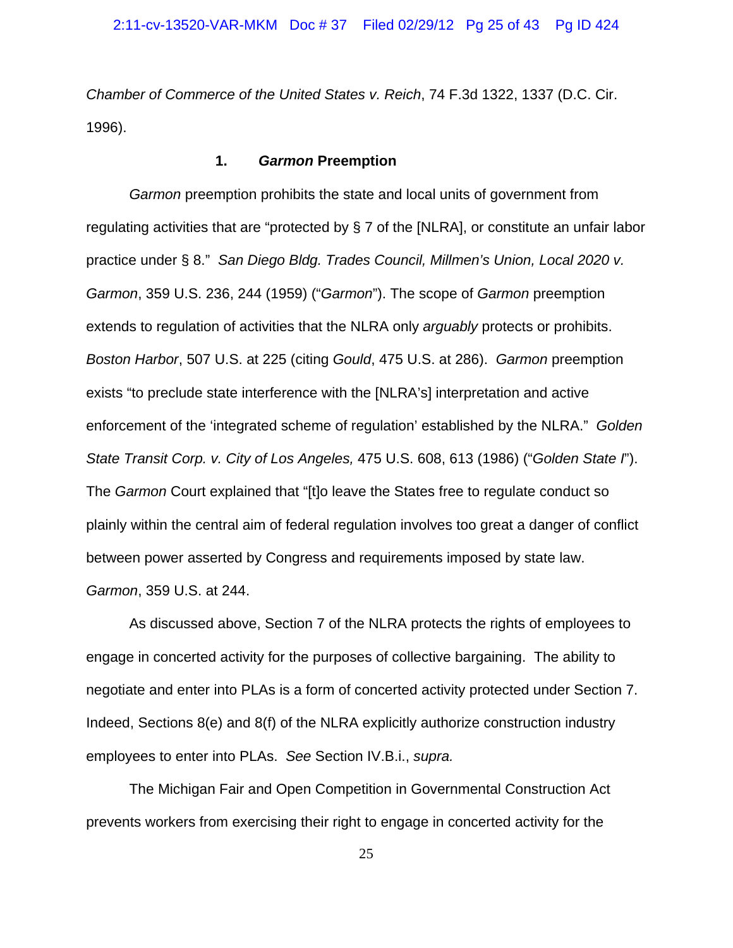*Chamber of Commerce of the United States v. Reich*, 74 F.3d 1322, 1337 (D.C. Cir. 1996).

### **1.** *Garmon* **Preemption**

*Garmon* preemption prohibits the state and local units of government from regulating activities that are "protected by § 7 of the [NLRA], or constitute an unfair labor practice under § 8." *San Diego Bldg. Trades Council, Millmen's Union, Local 2020 v. Garmon*, 359 U.S. 236, 244 (1959) ("*Garmon*"). The scope of *Garmon* preemption extends to regulation of activities that the NLRA only *arguably* protects or prohibits. *Boston Harbor*, 507 U.S. at 225 (citing *Gould*, 475 U.S. at 286). *Garmon* preemption exists "to preclude state interference with the [NLRA's] interpretation and active enforcement of the 'integrated scheme of regulation' established by the NLRA." *Golden State Transit Corp. v. City of Los Angeles,* 475 U.S. 608, 613 (1986) ("*Golden State I*"). The *Garmon* Court explained that "[t]o leave the States free to regulate conduct so plainly within the central aim of federal regulation involves too great a danger of conflict between power asserted by Congress and requirements imposed by state law. *Garmon*, 359 U.S. at 244.

As discussed above, Section 7 of the NLRA protects the rights of employees to engage in concerted activity for the purposes of collective bargaining. The ability to negotiate and enter into PLAs is a form of concerted activity protected under Section 7. Indeed, Sections 8(e) and 8(f) of the NLRA explicitly authorize construction industry employees to enter into PLAs. *See* Section IV.B.i., *supra.* 

The Michigan Fair and Open Competition in Governmental Construction Act prevents workers from exercising their right to engage in concerted activity for the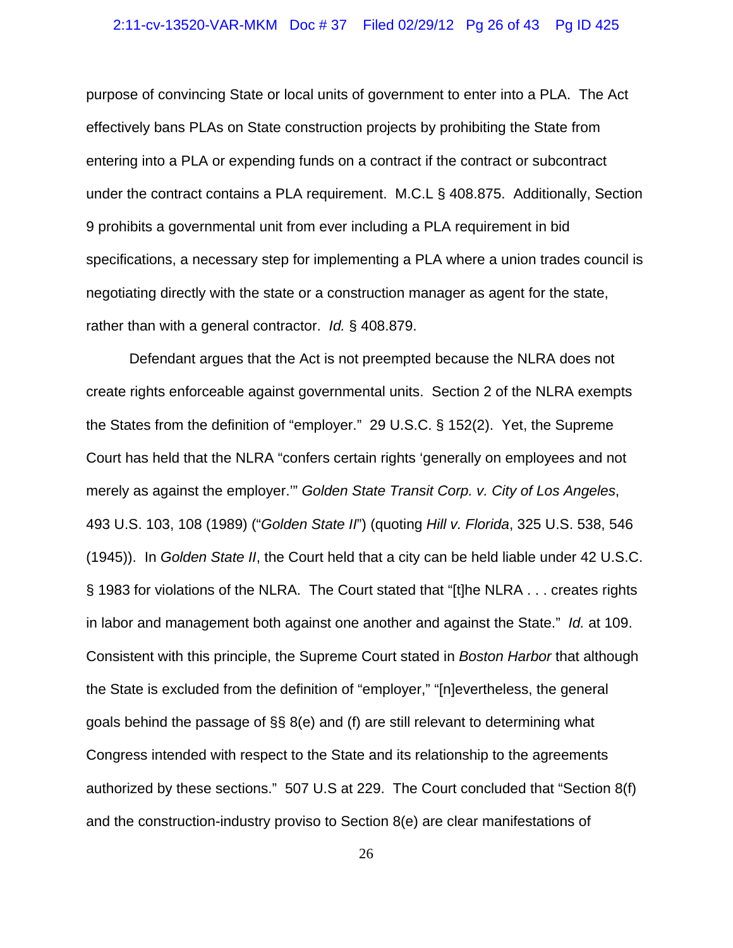### 2:11-cv-13520-VAR-MKM Doc # 37 Filed 02/29/12 Pg 26 of 43 Pg ID 425

purpose of convincing State or local units of government to enter into a PLA. The Act effectively bans PLAs on State construction projects by prohibiting the State from entering into a PLA or expending funds on a contract if the contract or subcontract under the contract contains a PLA requirement. M.C.L § 408.875. Additionally, Section 9 prohibits a governmental unit from ever including a PLA requirement in bid specifications, a necessary step for implementing a PLA where a union trades council is negotiating directly with the state or a construction manager as agent for the state, rather than with a general contractor. *Id.* § 408.879.

Defendant argues that the Act is not preempted because the NLRA does not create rights enforceable against governmental units. Section 2 of the NLRA exempts the States from the definition of "employer." 29 U.S.C. § 152(2). Yet, the Supreme Court has held that the NLRA "confers certain rights 'generally on employees and not merely as against the employer.'" *Golden State Transit Corp. v. City of Los Angeles*, 493 U.S. 103, 108 (1989) ("*Golden State II*") (quoting *Hill v. Florida*, 325 U.S. 538, 546 (1945)). In *Golden State II*, the Court held that a city can be held liable under 42 U.S.C. § 1983 for violations of the NLRA. The Court stated that "[t]he NLRA . . . creates rights in labor and management both against one another and against the State." *Id.* at 109. Consistent with this principle, the Supreme Court stated in *Boston Harbor* that although the State is excluded from the definition of "employer," "[n]evertheless, the general goals behind the passage of §§ 8(e) and (f) are still relevant to determining what Congress intended with respect to the State and its relationship to the agreements authorized by these sections." 507 U.S at 229. The Court concluded that "Section 8(f) and the construction-industry proviso to Section 8(e) are clear manifestations of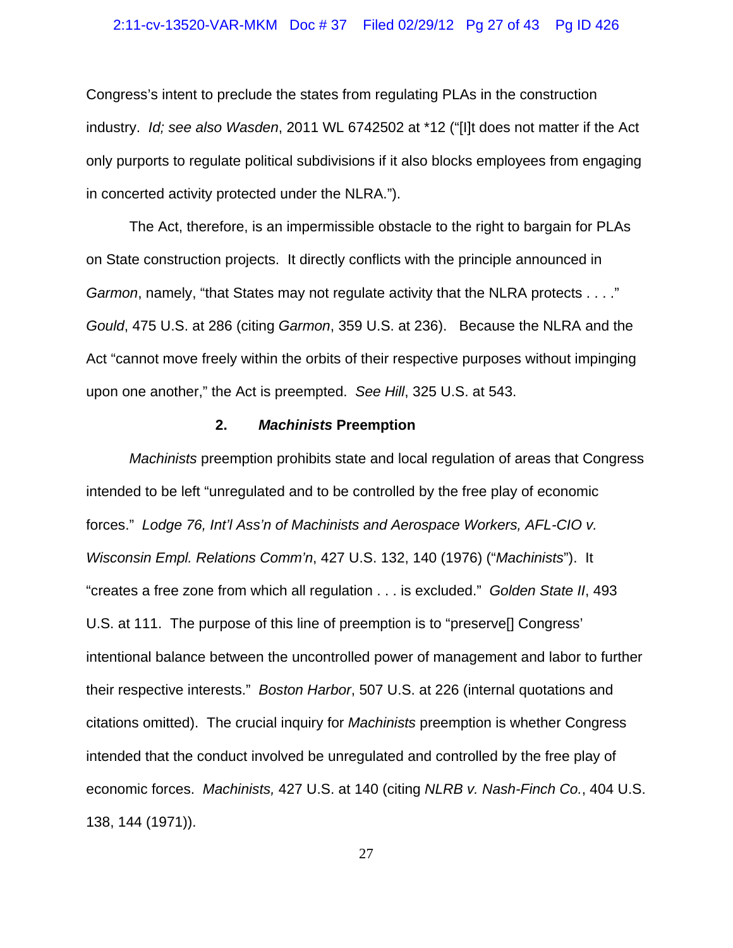### 2:11-cv-13520-VAR-MKM Doc # 37 Filed 02/29/12 Pg 27 of 43 Pg ID 426

Congress's intent to preclude the states from regulating PLAs in the construction industry. *Id; see also Wasden*, 2011 WL 6742502 at \*12 ("[I]t does not matter if the Act only purports to regulate political subdivisions if it also blocks employees from engaging in concerted activity protected under the NLRA.").

The Act, therefore, is an impermissible obstacle to the right to bargain for PLAs on State construction projects. It directly conflicts with the principle announced in *Garmon*, namely, "that States may not regulate activity that the NLRA protects . . . ." *Gould*, 475 U.S. at 286 (citing *Garmon*, 359 U.S. at 236). Because the NLRA and the Act "cannot move freely within the orbits of their respective purposes without impinging upon one another," the Act is preempted. *See Hill*, 325 U.S. at 543.

## **2.** *Machinists* **Preemption**

*Machinists* preemption prohibits state and local regulation of areas that Congress intended to be left "unregulated and to be controlled by the free play of economic forces." *Lodge 76, Int'l Ass'n of Machinists and Aerospace Workers, AFL-CIO v. Wisconsin Empl. Relations Comm'n*, 427 U.S. 132, 140 (1976) ("*Machinists*"). It "creates a free zone from which all regulation . . . is excluded." *Golden State II*, 493 U.S. at 111. The purpose of this line of preemption is to "preserve[] Congress' intentional balance between the uncontrolled power of management and labor to further their respective interests." *Boston Harbor*, 507 U.S. at 226 (internal quotations and citations omitted). The crucial inquiry for *Machinists* preemption is whether Congress intended that the conduct involved be unregulated and controlled by the free play of economic forces. *Machinists,* 427 U.S. at 140 (citing *NLRB v. Nash-Finch Co.*, 404 U.S. 138, 144 (1971)).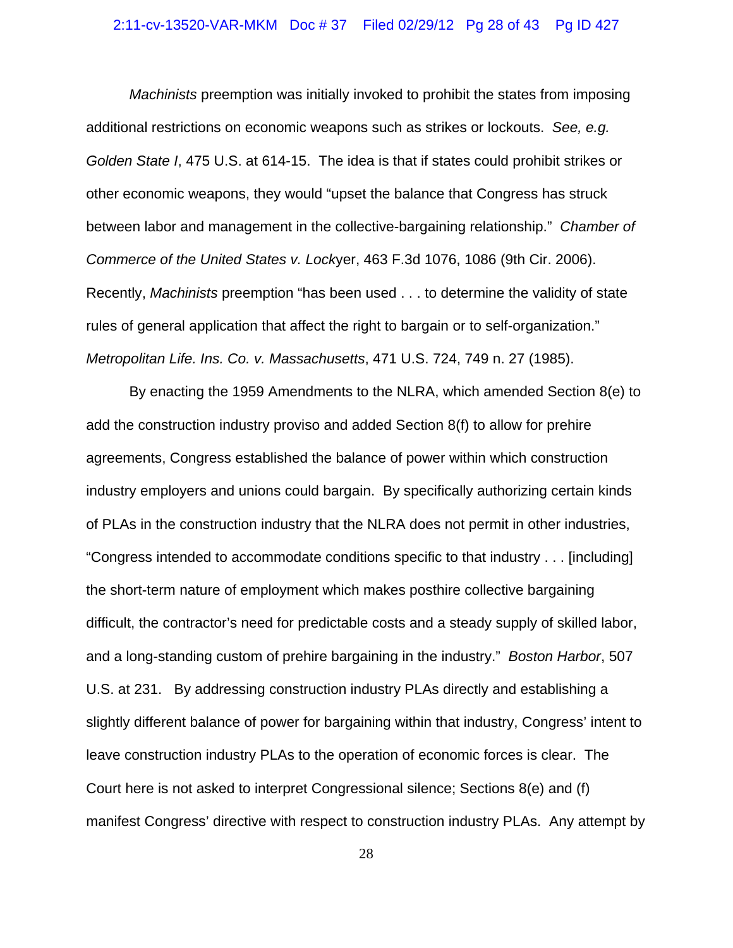### 2:11-cv-13520-VAR-MKM Doc # 37 Filed 02/29/12 Pg 28 of 43 Pg ID 427

*Machinists* preemption was initially invoked to prohibit the states from imposing additional restrictions on economic weapons such as strikes or lockouts. *See, e.g. Golden State I*, 475 U.S. at 614-15. The idea is that if states could prohibit strikes or other economic weapons, they would "upset the balance that Congress has struck between labor and management in the collective-bargaining relationship." *Chamber of Commerce of the United States v. Lock*yer, 463 F.3d 1076, 1086 (9th Cir. 2006). Recently, *Machinists* preemption "has been used . . . to determine the validity of state rules of general application that affect the right to bargain or to self-organization." *Metropolitan Life. Ins. Co. v. Massachusetts*, 471 U.S. 724, 749 n. 27 (1985).

By enacting the 1959 Amendments to the NLRA, which amended Section 8(e) to add the construction industry proviso and added Section 8(f) to allow for prehire agreements, Congress established the balance of power within which construction industry employers and unions could bargain. By specifically authorizing certain kinds of PLAs in the construction industry that the NLRA does not permit in other industries, "Congress intended to accommodate conditions specific to that industry . . . [including] the short-term nature of employment which makes posthire collective bargaining difficult, the contractor's need for predictable costs and a steady supply of skilled labor, and a long-standing custom of prehire bargaining in the industry." *Boston Harbor*, 507 U.S. at 231. By addressing construction industry PLAs directly and establishing a slightly different balance of power for bargaining within that industry, Congress' intent to leave construction industry PLAs to the operation of economic forces is clear. The Court here is not asked to interpret Congressional silence; Sections 8(e) and (f) manifest Congress' directive with respect to construction industry PLAs. Any attempt by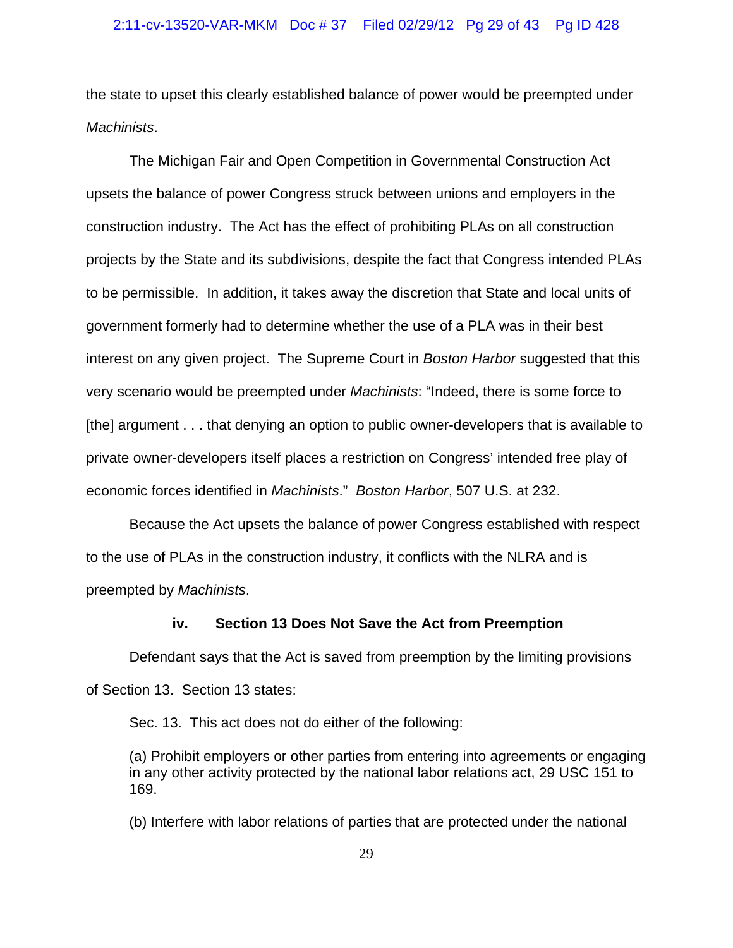the state to upset this clearly established balance of power would be preempted under *Machinists*.

The Michigan Fair and Open Competition in Governmental Construction Act upsets the balance of power Congress struck between unions and employers in the construction industry. The Act has the effect of prohibiting PLAs on all construction projects by the State and its subdivisions, despite the fact that Congress intended PLAs to be permissible. In addition, it takes away the discretion that State and local units of government formerly had to determine whether the use of a PLA was in their best interest on any given project. The Supreme Court in *Boston Harbor* suggested that this very scenario would be preempted under *Machinists*: "Indeed, there is some force to [the] argument . . . that denying an option to public owner-developers that is available to private owner-developers itself places a restriction on Congress' intended free play of economic forces identified in *Machinists*." *Boston Harbor*, 507 U.S. at 232.

Because the Act upsets the balance of power Congress established with respect to the use of PLAs in the construction industry, it conflicts with the NLRA and is preempted by *Machinists*.

### **iv. Section 13 Does Not Save the Act from Preemption**

Defendant says that the Act is saved from preemption by the limiting provisions of Section 13. Section 13 states:

Sec. 13. This act does not do either of the following:

(a) Prohibit employers or other parties from entering into agreements or engaging in any other activity protected by the national labor relations act, 29 USC 151 to 169.

(b) Interfere with labor relations of parties that are protected under the national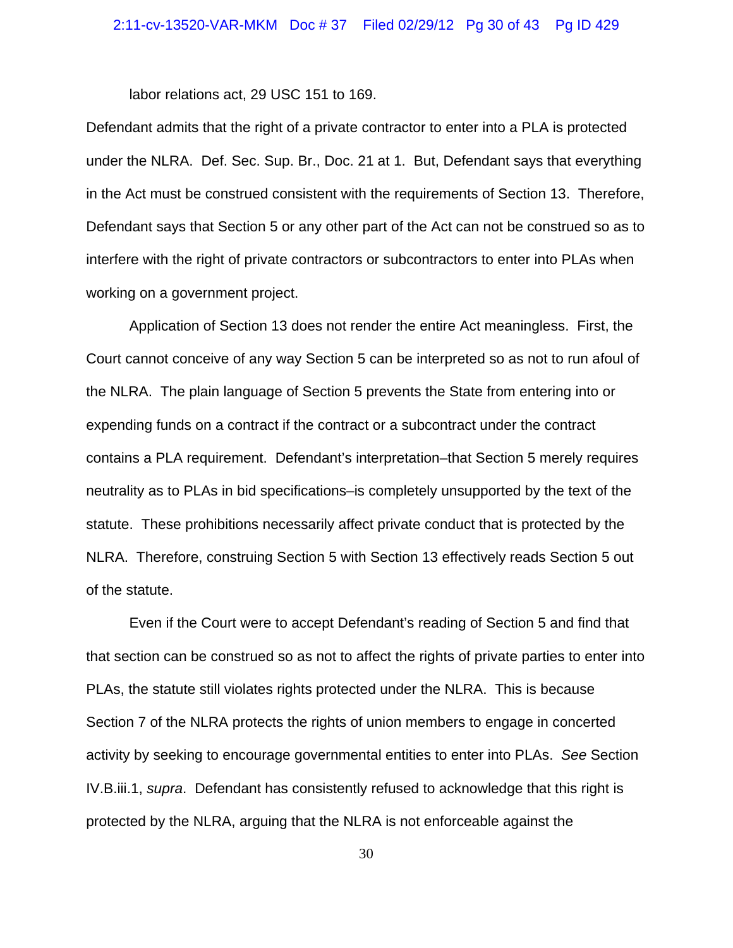labor relations act, 29 USC 151 to 169.

Defendant admits that the right of a private contractor to enter into a PLA is protected under the NLRA. Def. Sec. Sup. Br., Doc. 21 at 1. But, Defendant says that everything in the Act must be construed consistent with the requirements of Section 13. Therefore, Defendant says that Section 5 or any other part of the Act can not be construed so as to interfere with the right of private contractors or subcontractors to enter into PLAs when working on a government project.

Application of Section 13 does not render the entire Act meaningless. First, the Court cannot conceive of any way Section 5 can be interpreted so as not to run afoul of the NLRA. The plain language of Section 5 prevents the State from entering into or expending funds on a contract if the contract or a subcontract under the contract contains a PLA requirement. Defendant's interpretation–that Section 5 merely requires neutrality as to PLAs in bid specifications–is completely unsupported by the text of the statute. These prohibitions necessarily affect private conduct that is protected by the NLRA. Therefore, construing Section 5 with Section 13 effectively reads Section 5 out of the statute.

Even if the Court were to accept Defendant's reading of Section 5 and find that that section can be construed so as not to affect the rights of private parties to enter into PLAs, the statute still violates rights protected under the NLRA. This is because Section 7 of the NLRA protects the rights of union members to engage in concerted activity by seeking to encourage governmental entities to enter into PLAs. *See* Section IV.B.iii.1, *supra*. Defendant has consistently refused to acknowledge that this right is protected by the NLRA, arguing that the NLRA is not enforceable against the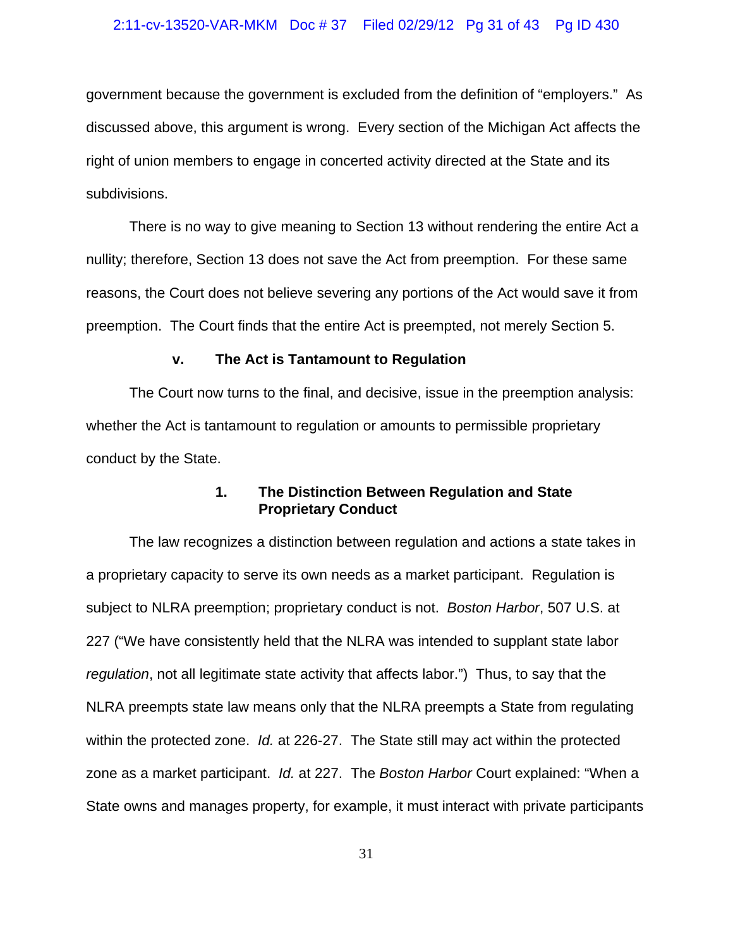### 2:11-cv-13520-VAR-MKM Doc # 37 Filed 02/29/12 Pg 31 of 43 Pg ID 430

government because the government is excluded from the definition of "employers." As discussed above, this argument is wrong. Every section of the Michigan Act affects the right of union members to engage in concerted activity directed at the State and its subdivisions.

There is no way to give meaning to Section 13 without rendering the entire Act a nullity; therefore, Section 13 does not save the Act from preemption. For these same reasons, the Court does not believe severing any portions of the Act would save it from preemption. The Court finds that the entire Act is preempted, not merely Section 5.

### **v. The Act is Tantamount to Regulation**

The Court now turns to the final, and decisive, issue in the preemption analysis: whether the Act is tantamount to regulation or amounts to permissible proprietary conduct by the State.

## **1. The Distinction Between Regulation and State Proprietary Conduct**

The law recognizes a distinction between regulation and actions a state takes in a proprietary capacity to serve its own needs as a market participant. Regulation is subject to NLRA preemption; proprietary conduct is not. *Boston Harbor*, 507 U.S. at 227 ("We have consistently held that the NLRA was intended to supplant state labor *regulation*, not all legitimate state activity that affects labor.") Thus, to say that the NLRA preempts state law means only that the NLRA preempts a State from regulating within the protected zone. *Id.* at 226-27. The State still may act within the protected zone as a market participant. *Id.* at 227. The *Boston Harbor* Court explained: "When a State owns and manages property, for example, it must interact with private participants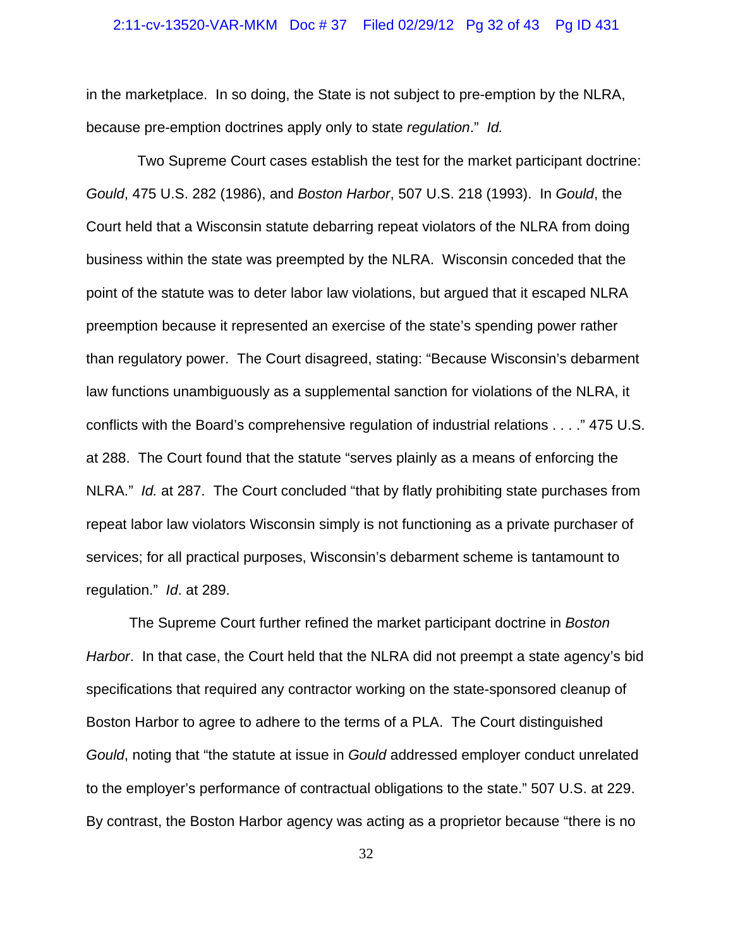### 2:11-cv-13520-VAR-MKM Doc # 37 Filed 02/29/12 Pg 32 of 43 Pg ID 431

in the marketplace. In so doing, the State is not subject to pre-emption by the NLRA, because pre-emption doctrines apply only to state *regulation*." *Id.*

 Two Supreme Court cases establish the test for the market participant doctrine: *Gould*, 475 U.S. 282 (1986), and *Boston Harbor*, 507 U.S. 218 (1993). In *Gould*, the Court held that a Wisconsin statute debarring repeat violators of the NLRA from doing business within the state was preempted by the NLRA. Wisconsin conceded that the point of the statute was to deter labor law violations, but argued that it escaped NLRA preemption because it represented an exercise of the state's spending power rather than regulatory power. The Court disagreed, stating: "Because Wisconsin's debarment law functions unambiguously as a supplemental sanction for violations of the NLRA, it conflicts with the Board's comprehensive regulation of industrial relations . . . ." 475 U.S. at 288. The Court found that the statute "serves plainly as a means of enforcing the NLRA." *Id.* at 287. The Court concluded "that by flatly prohibiting state purchases from repeat labor law violators Wisconsin simply is not functioning as a private purchaser of services; for all practical purposes, Wisconsin's debarment scheme is tantamount to regulation." *Id*. at 289.

The Supreme Court further refined the market participant doctrine in *Boston Harbor*. In that case, the Court held that the NLRA did not preempt a state agency's bid specifications that required any contractor working on the state-sponsored cleanup of Boston Harbor to agree to adhere to the terms of a PLA. The Court distinguished *Gould*, noting that "the statute at issue in *Gould* addressed employer conduct unrelated to the employer's performance of contractual obligations to the state." 507 U.S. at 229. By contrast, the Boston Harbor agency was acting as a proprietor because "there is no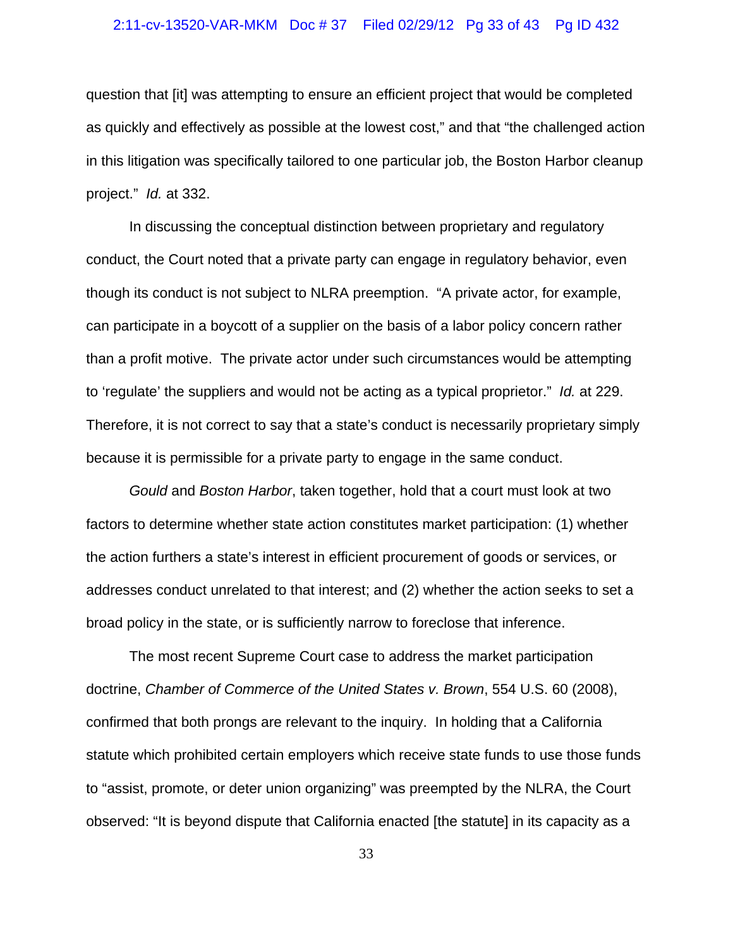### 2:11-cv-13520-VAR-MKM Doc # 37 Filed 02/29/12 Pg 33 of 43 Pg ID 432

question that [it] was attempting to ensure an efficient project that would be completed as quickly and effectively as possible at the lowest cost," and that "the challenged action in this litigation was specifically tailored to one particular job, the Boston Harbor cleanup project." *Id.* at 332.

In discussing the conceptual distinction between proprietary and regulatory conduct, the Court noted that a private party can engage in regulatory behavior, even though its conduct is not subject to NLRA preemption. "A private actor, for example, can participate in a boycott of a supplier on the basis of a labor policy concern rather than a profit motive. The private actor under such circumstances would be attempting to 'regulate' the suppliers and would not be acting as a typical proprietor." *Id.* at 229. Therefore, it is not correct to say that a state's conduct is necessarily proprietary simply because it is permissible for a private party to engage in the same conduct.

*Gould* and *Boston Harbor*, taken together, hold that a court must look at two factors to determine whether state action constitutes market participation: (1) whether the action furthers a state's interest in efficient procurement of goods or services, or addresses conduct unrelated to that interest; and (2) whether the action seeks to set a broad policy in the state, or is sufficiently narrow to foreclose that inference.

The most recent Supreme Court case to address the market participation doctrine, *Chamber of Commerce of the United States v. Brown*, 554 U.S. 60 (2008), confirmed that both prongs are relevant to the inquiry. In holding that a California statute which prohibited certain employers which receive state funds to use those funds to "assist, promote, or deter union organizing" was preempted by the NLRA, the Court observed: "It is beyond dispute that California enacted [the statute] in its capacity as a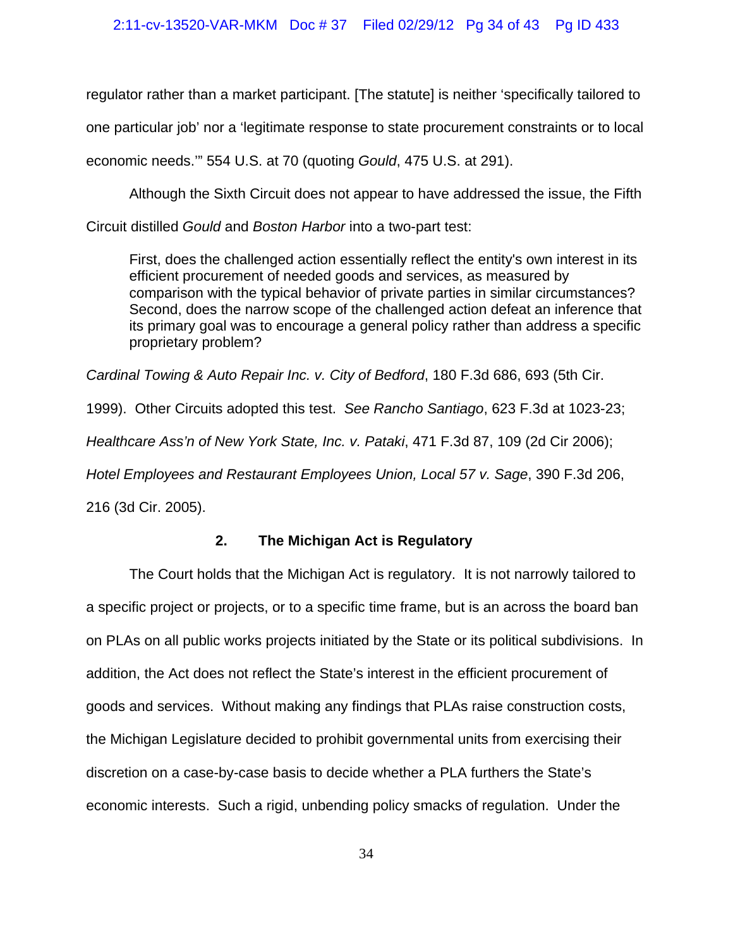regulator rather than a market participant. [The statute] is neither 'specifically tailored to one particular job' nor a 'legitimate response to state procurement constraints or to local economic needs.'" 554 U.S. at 70 (quoting *Gould*, 475 U.S. at 291).

Although the Sixth Circuit does not appear to have addressed the issue, the Fifth

Circuit distilled *Gould* and *Boston Harbor* into a two-part test:

First, does the challenged action essentially reflect the entity's own interest in its efficient procurement of needed goods and services, as measured by comparison with the typical behavior of private parties in similar circumstances? Second, does the narrow scope of the challenged action defeat an inference that its primary goal was to encourage a general policy rather than address a specific proprietary problem?

*Cardinal Towing & Auto Repair Inc. v. City of Bedford*, 180 F.3d 686, 693 (5th Cir.

1999). Other Circuits adopted this test. *See Rancho Santiago*, 623 F.3d at 1023-23;

*Healthcare Ass'n of New York State, Inc. v. Pataki*, 471 F.3d 87, 109 (2d Cir 2006);

*Hotel Employees and Restaurant Employees Union, Local 57 v. Sage*, 390 F.3d 206,

216 (3d Cir. 2005).

# **2. The Michigan Act is Regulatory**

The Court holds that the Michigan Act is regulatory. It is not narrowly tailored to a specific project or projects, or to a specific time frame, but is an across the board ban on PLAs on all public works projects initiated by the State or its political subdivisions. In addition, the Act does not reflect the State's interest in the efficient procurement of goods and services. Without making any findings that PLAs raise construction costs, the Michigan Legislature decided to prohibit governmental units from exercising their discretion on a case-by-case basis to decide whether a PLA furthers the State's economic interests. Such a rigid, unbending policy smacks of regulation. Under the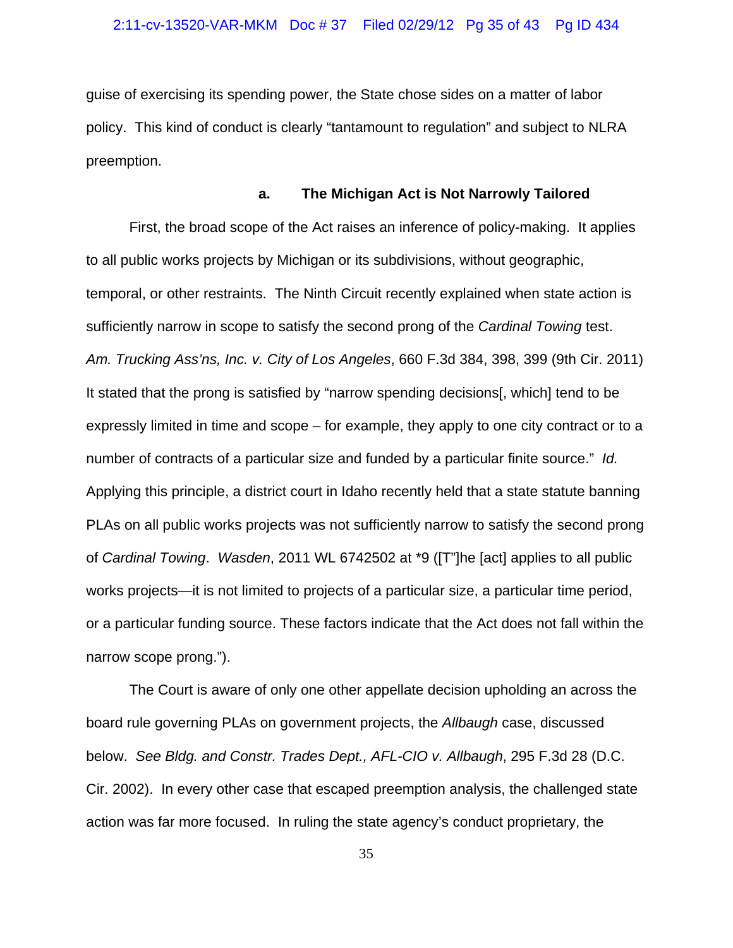guise of exercising its spending power, the State chose sides on a matter of labor policy. This kind of conduct is clearly "tantamount to regulation" and subject to NLRA preemption.

#### **a. The Michigan Act is Not Narrowly Tailored**

First, the broad scope of the Act raises an inference of policy-making. It applies to all public works projects by Michigan or its subdivisions, without geographic, temporal, or other restraints. The Ninth Circuit recently explained when state action is sufficiently narrow in scope to satisfy the second prong of the *Cardinal Towing* test. *Am. Trucking Ass'ns, Inc. v. City of Los Angeles*, 660 F.3d 384, 398, 399 (9th Cir. 2011) It stated that the prong is satisfied by "narrow spending decisions[, which] tend to be expressly limited in time and scope – for example, they apply to one city contract or to a number of contracts of a particular size and funded by a particular finite source." *Id.*  Applying this principle, a district court in Idaho recently held that a state statute banning PLAs on all public works projects was not sufficiently narrow to satisfy the second prong of *Cardinal Towing*. *Wasden*, 2011 WL 6742502 at \*9 ([T"]he [act] applies to all public works projects—it is not limited to projects of a particular size, a particular time period, or a particular funding source. These factors indicate that the Act does not fall within the narrow scope prong.").

The Court is aware of only one other appellate decision upholding an across the board rule governing PLAs on government projects, the *Allbaugh* case, discussed below. *See Bldg. and Constr. Trades Dept., AFL-CIO v. Allbaugh*, 295 F.3d 28 (D.C. Cir. 2002). In every other case that escaped preemption analysis, the challenged state action was far more focused. In ruling the state agency's conduct proprietary, the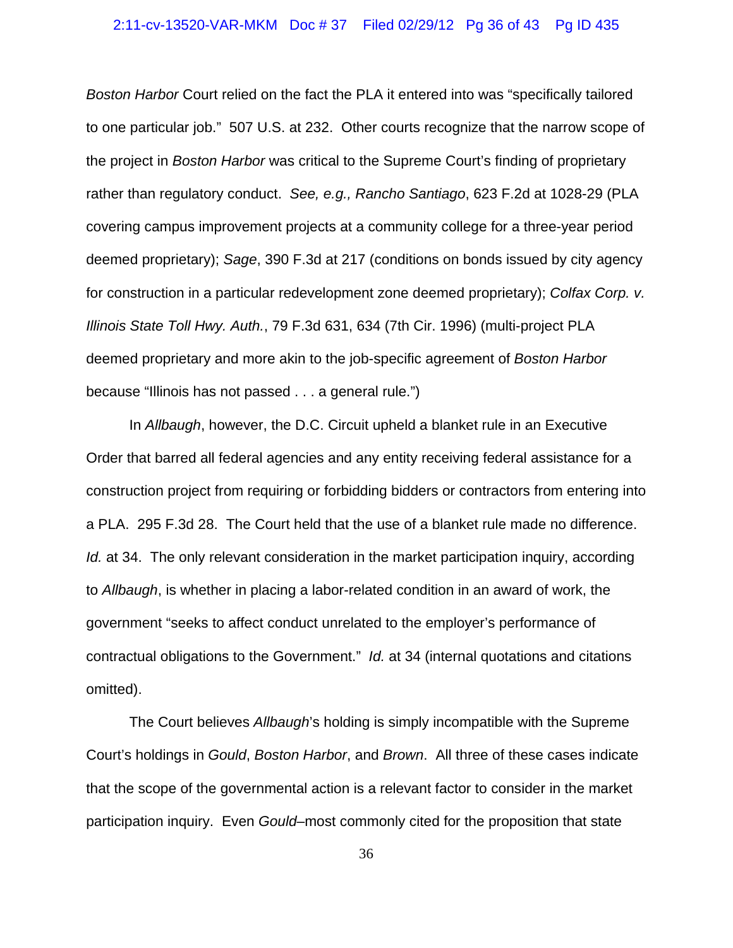### 2:11-cv-13520-VAR-MKM Doc # 37 Filed 02/29/12 Pg 36 of 43 Pg ID 435

*Boston Harbor* Court relied on the fact the PLA it entered into was "specifically tailored to one particular job." 507 U.S. at 232. Other courts recognize that the narrow scope of the project in *Boston Harbor* was critical to the Supreme Court's finding of proprietary rather than regulatory conduct. *See, e.g., Rancho Santiago*, 623 F.2d at 1028-29 (PLA covering campus improvement projects at a community college for a three-year period deemed proprietary); *Sage*, 390 F.3d at 217 (conditions on bonds issued by city agency for construction in a particular redevelopment zone deemed proprietary); *Colfax Corp. v. Illinois State Toll Hwy. Auth.*, 79 F.3d 631, 634 (7th Cir. 1996) (multi-project PLA deemed proprietary and more akin to the job-specific agreement of *Boston Harbor* because "Illinois has not passed . . . a general rule.")

In *Allbaugh*, however, the D.C. Circuit upheld a blanket rule in an Executive Order that barred all federal agencies and any entity receiving federal assistance for a construction project from requiring or forbidding bidders or contractors from entering into a PLA. 295 F.3d 28. The Court held that the use of a blanket rule made no difference. *Id.* at 34. The only relevant consideration in the market participation inquiry, according to *Allbaugh*, is whether in placing a labor-related condition in an award of work, the government "seeks to affect conduct unrelated to the employer's performance of contractual obligations to the Government." *Id.* at 34 (internal quotations and citations omitted).

The Court believes *Allbaugh*'s holding is simply incompatible with the Supreme Court's holdings in *Gould*, *Boston Harbor*, and *Brown*. All three of these cases indicate that the scope of the governmental action is a relevant factor to consider in the market participation inquiry. Even *Gould*–most commonly cited for the proposition that state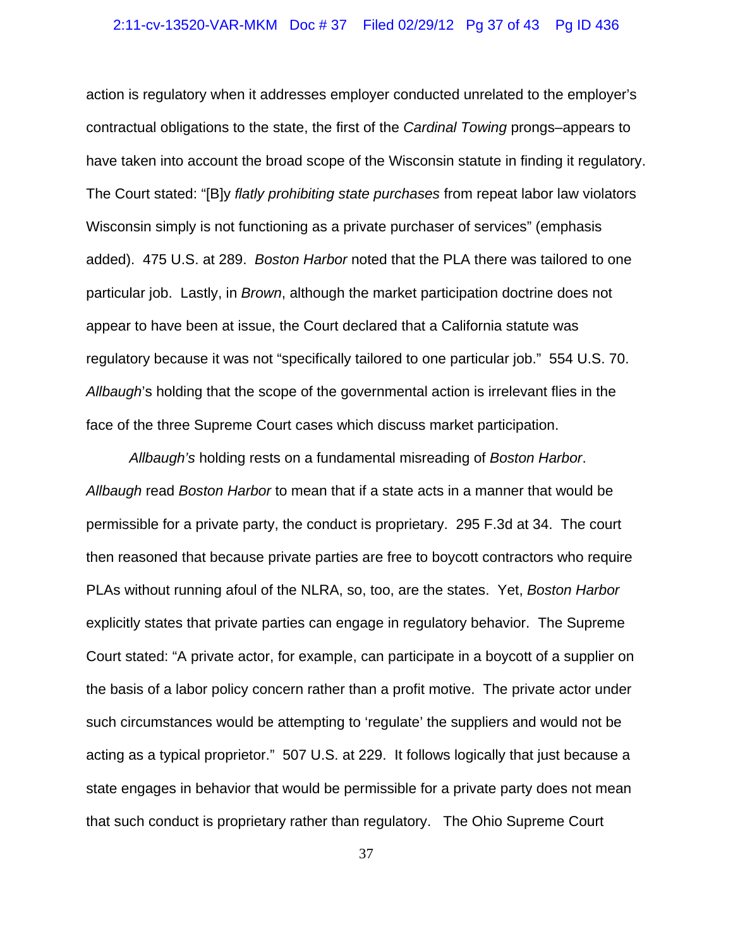### 2:11-cv-13520-VAR-MKM Doc # 37 Filed 02/29/12 Pg 37 of 43 Pg ID 436

action is regulatory when it addresses employer conducted unrelated to the employer's contractual obligations to the state, the first of the *Cardinal Towing* prongs–appears to have taken into account the broad scope of the Wisconsin statute in finding it regulatory. The Court stated: "[B]y *flatly prohibiting state purchases* from repeat labor law violators Wisconsin simply is not functioning as a private purchaser of services" (emphasis added). 475 U.S. at 289. *Boston Harbor* noted that the PLA there was tailored to one particular job. Lastly, in *Brown*, although the market participation doctrine does not appear to have been at issue, the Court declared that a California statute was regulatory because it was not "specifically tailored to one particular job." 554 U.S. 70. *Allbaugh*'s holding that the scope of the governmental action is irrelevant flies in the face of the three Supreme Court cases which discuss market participation.

*Allbaugh's* holding rests on a fundamental misreading of *Boston Harbor*. *Allbaugh* read *Boston Harbor* to mean that if a state acts in a manner that would be permissible for a private party, the conduct is proprietary. 295 F.3d at 34. The court then reasoned that because private parties are free to boycott contractors who require PLAs without running afoul of the NLRA, so, too, are the states. Yet, *Boston Harbor* explicitly states that private parties can engage in regulatory behavior. The Supreme Court stated: "A private actor, for example, can participate in a boycott of a supplier on the basis of a labor policy concern rather than a profit motive. The private actor under such circumstances would be attempting to 'regulate' the suppliers and would not be acting as a typical proprietor." 507 U.S. at 229. It follows logically that just because a state engages in behavior that would be permissible for a private party does not mean that such conduct is proprietary rather than regulatory. The Ohio Supreme Court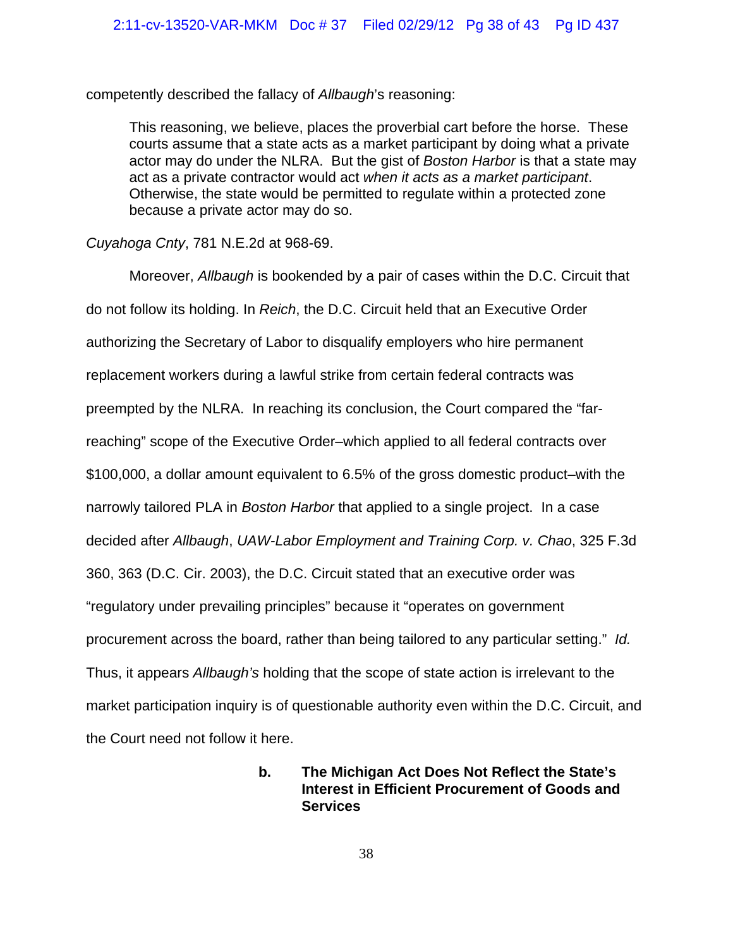competently described the fallacy of *Allbaugh*'s reasoning:

This reasoning, we believe, places the proverbial cart before the horse. These courts assume that a state acts as a market participant by doing what a private actor may do under the NLRA. But the gist of *Boston Harbor* is that a state may act as a private contractor would act *when it acts as a market participant*. Otherwise, the state would be permitted to regulate within a protected zone because a private actor may do so.

*Cuyahoga Cnty*, 781 N.E.2d at 968-69.

Moreover, *Allbaugh* is bookended by a pair of cases within the D.C. Circuit that do not follow its holding. In *Reich*, the D.C. Circuit held that an Executive Order authorizing the Secretary of Labor to disqualify employers who hire permanent replacement workers during a lawful strike from certain federal contracts was preempted by the NLRA. In reaching its conclusion, the Court compared the "farreaching" scope of the Executive Order–which applied to all federal contracts over \$100,000, a dollar amount equivalent to 6.5% of the gross domestic product–with the narrowly tailored PLA in *Boston Harbor* that applied to a single project. In a case decided after *Allbaugh*, *UAW-Labor Employment and Training Corp. v. Chao*, 325 F.3d 360, 363 (D.C. Cir. 2003), the D.C. Circuit stated that an executive order was "regulatory under prevailing principles" because it "operates on government procurement across the board, rather than being tailored to any particular setting." *Id.*  Thus, it appears *Allbaugh's* holding that the scope of state action is irrelevant to the market participation inquiry is of questionable authority even within the D.C. Circuit, and the Court need not follow it here.

# **b. The Michigan Act Does Not Reflect the State's Interest in Efficient Procurement of Goods and Services**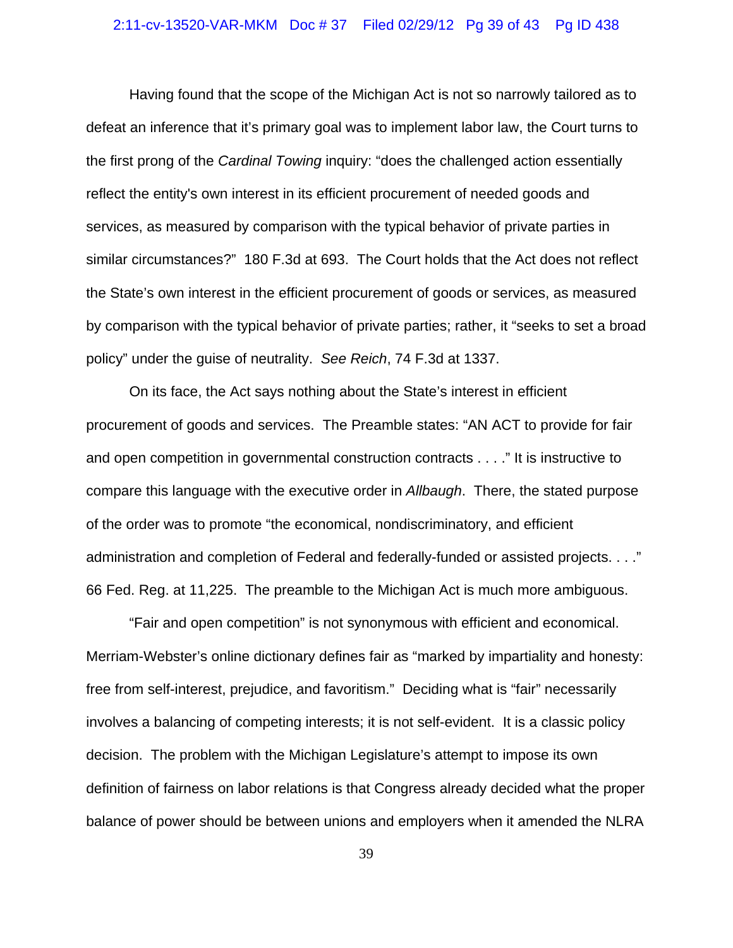### 2:11-cv-13520-VAR-MKM Doc # 37 Filed 02/29/12 Pg 39 of 43 Pg ID 438

Having found that the scope of the Michigan Act is not so narrowly tailored as to defeat an inference that it's primary goal was to implement labor law, the Court turns to the first prong of the *Cardinal Towing* inquiry: "does the challenged action essentially reflect the entity's own interest in its efficient procurement of needed goods and services, as measured by comparison with the typical behavior of private parties in similar circumstances?" 180 F.3d at 693. The Court holds that the Act does not reflect the State's own interest in the efficient procurement of goods or services, as measured by comparison with the typical behavior of private parties; rather, it "seeks to set a broad policy" under the guise of neutrality. *See Reich*, 74 F.3d at 1337.

On its face, the Act says nothing about the State's interest in efficient procurement of goods and services. The Preamble states: "AN ACT to provide for fair and open competition in governmental construction contracts . . . ." It is instructive to compare this language with the executive order in *Allbaugh*. There, the stated purpose of the order was to promote "the economical, nondiscriminatory, and efficient administration and completion of Federal and federally-funded or assisted projects. . . ." 66 Fed. Reg. at 11,225. The preamble to the Michigan Act is much more ambiguous.

"Fair and open competition" is not synonymous with efficient and economical. Merriam-Webster's online dictionary defines fair as "marked by impartiality and honesty: free from self-interest, prejudice, and favoritism." Deciding what is "fair" necessarily involves a balancing of competing interests; it is not self-evident. It is a classic policy decision. The problem with the Michigan Legislature's attempt to impose its own definition of fairness on labor relations is that Congress already decided what the proper balance of power should be between unions and employers when it amended the NLRA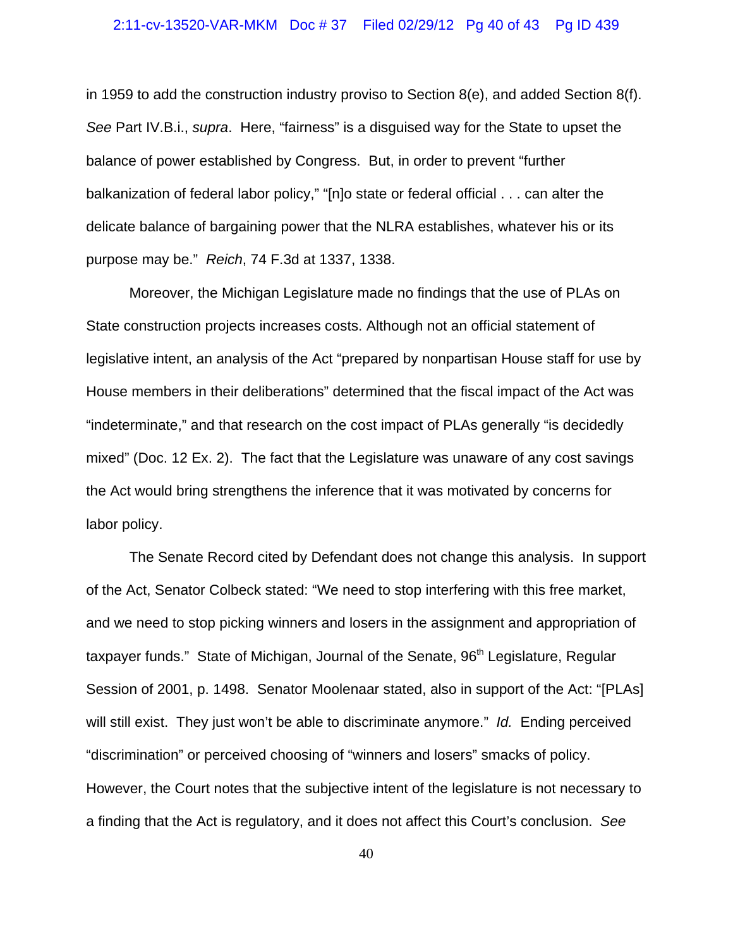### 2:11-cv-13520-VAR-MKM Doc # 37 Filed 02/29/12 Pg 40 of 43 Pg ID 439

in 1959 to add the construction industry proviso to Section  $8(e)$ , and added Section  $8(f)$ . *See* Part IV.B.i., *supra*. Here, "fairness" is a disguised way for the State to upset the balance of power established by Congress. But, in order to prevent "further balkanization of federal labor policy," "[n]o state or federal official . . . can alter the delicate balance of bargaining power that the NLRA establishes, whatever his or its purpose may be." *Reich*, 74 F.3d at 1337, 1338.

Moreover, the Michigan Legislature made no findings that the use of PLAs on State construction projects increases costs. Although not an official statement of legislative intent, an analysis of the Act "prepared by nonpartisan House staff for use by House members in their deliberations" determined that the fiscal impact of the Act was "indeterminate," and that research on the cost impact of PLAs generally "is decidedly mixed" (Doc. 12 Ex. 2). The fact that the Legislature was unaware of any cost savings the Act would bring strengthens the inference that it was motivated by concerns for labor policy.

The Senate Record cited by Defendant does not change this analysis. In support of the Act, Senator Colbeck stated: "We need to stop interfering with this free market, and we need to stop picking winners and losers in the assignment and appropriation of taxpayer funds." State of Michigan, Journal of the Senate, 96<sup>th</sup> Legislature, Regular Session of 2001, p. 1498. Senator Moolenaar stated, also in support of the Act: "[PLAs] will still exist. They just won't be able to discriminate anymore." *Id.* Ending perceived "discrimination" or perceived choosing of "winners and losers" smacks of policy. However, the Court notes that the subjective intent of the legislature is not necessary to a finding that the Act is regulatory, and it does not affect this Court's conclusion. *See*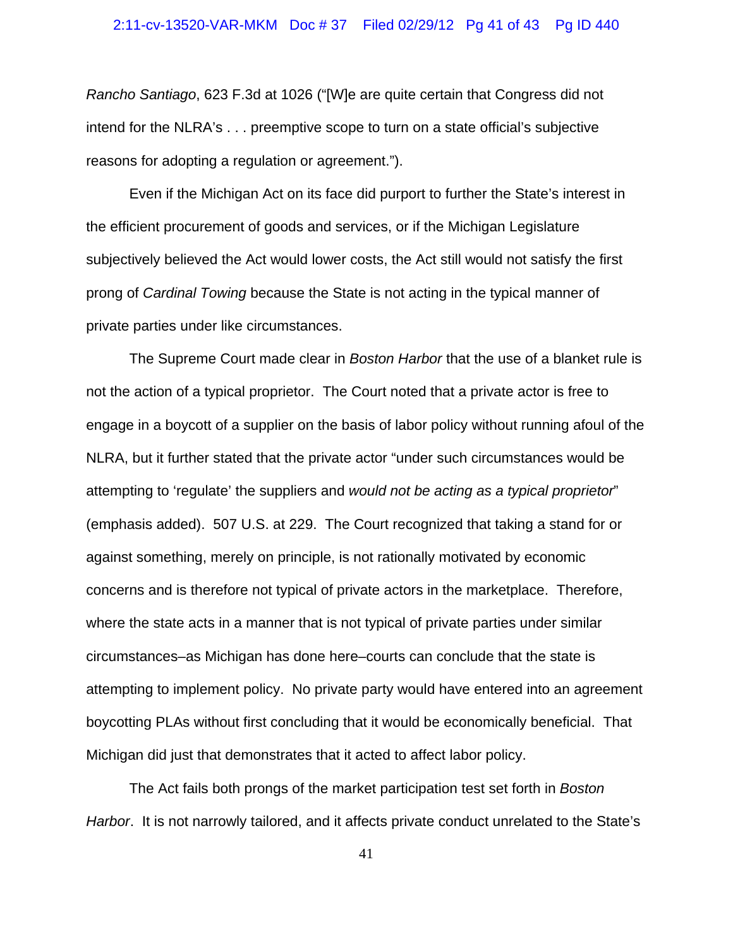## 2:11-cv-13520-VAR-MKM Doc # 37 Filed 02/29/12 Pg 41 of 43 Pg ID 440

*Rancho Santiago*, 623 F.3d at 1026 ("[W]e are quite certain that Congress did not intend for the NLRA's . . . preemptive scope to turn on a state official's subjective reasons for adopting a regulation or agreement.").

Even if the Michigan Act on its face did purport to further the State's interest in the efficient procurement of goods and services, or if the Michigan Legislature subjectively believed the Act would lower costs, the Act still would not satisfy the first prong of *Cardinal Towing* because the State is not acting in the typical manner of private parties under like circumstances.

The Supreme Court made clear in *Boston Harbor* that the use of a blanket rule is not the action of a typical proprietor. The Court noted that a private actor is free to engage in a boycott of a supplier on the basis of labor policy without running afoul of the NLRA, but it further stated that the private actor "under such circumstances would be attempting to 'regulate' the suppliers and *would not be acting as a typical proprietor*" (emphasis added). 507 U.S. at 229. The Court recognized that taking a stand for or against something, merely on principle, is not rationally motivated by economic concerns and is therefore not typical of private actors in the marketplace. Therefore, where the state acts in a manner that is not typical of private parties under similar circumstances–as Michigan has done here–courts can conclude that the state is attempting to implement policy. No private party would have entered into an agreement boycotting PLAs without first concluding that it would be economically beneficial. That Michigan did just that demonstrates that it acted to affect labor policy.

The Act fails both prongs of the market participation test set forth in *Boston Harbor*. It is not narrowly tailored, and it affects private conduct unrelated to the State's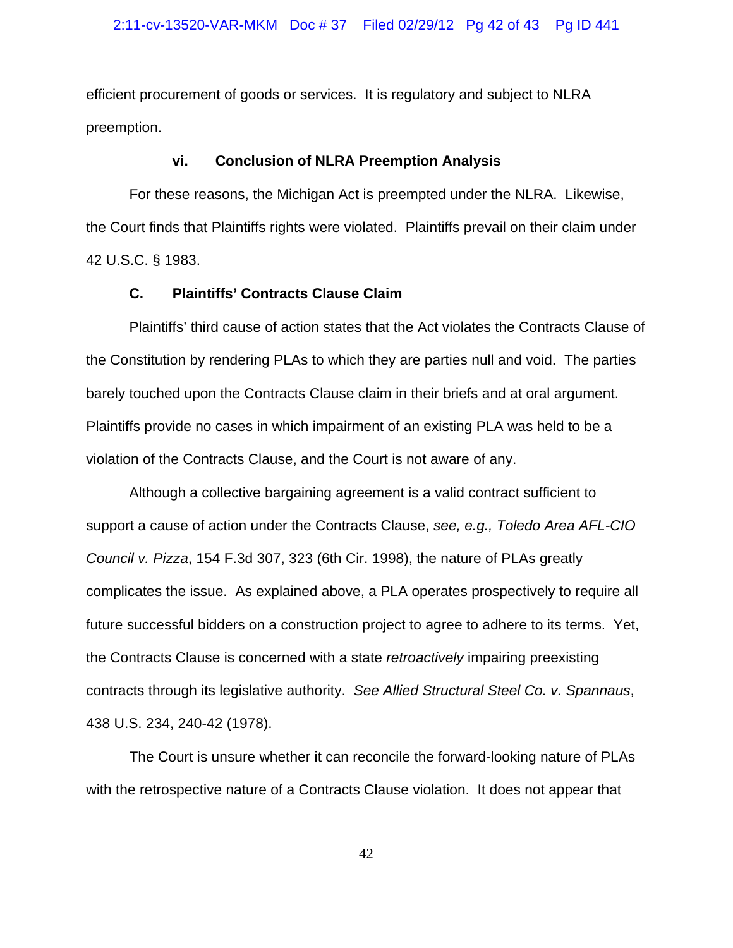efficient procurement of goods or services. It is regulatory and subject to NLRA preemption.

#### **vi. Conclusion of NLRA Preemption Analysis**

For these reasons, the Michigan Act is preempted under the NLRA. Likewise, the Court finds that Plaintiffs rights were violated. Plaintiffs prevail on their claim under 42 U.S.C. § 1983.

### **C. Plaintiffs' Contracts Clause Claim**

Plaintiffs' third cause of action states that the Act violates the Contracts Clause of the Constitution by rendering PLAs to which they are parties null and void. The parties barely touched upon the Contracts Clause claim in their briefs and at oral argument. Plaintiffs provide no cases in which impairment of an existing PLA was held to be a violation of the Contracts Clause, and the Court is not aware of any.

Although a collective bargaining agreement is a valid contract sufficient to support a cause of action under the Contracts Clause, *see, e.g., Toledo Area AFL-CIO Council v. Pizza*, 154 F.3d 307, 323 (6th Cir. 1998), the nature of PLAs greatly complicates the issue. As explained above, a PLA operates prospectively to require all future successful bidders on a construction project to agree to adhere to its terms. Yet, the Contracts Clause is concerned with a state *retroactively* impairing preexisting contracts through its legislative authority. *See Allied Structural Steel Co. v. Spannaus*, 438 U.S. 234, 240-42 (1978).

The Court is unsure whether it can reconcile the forward-looking nature of PLAs with the retrospective nature of a Contracts Clause violation. It does not appear that